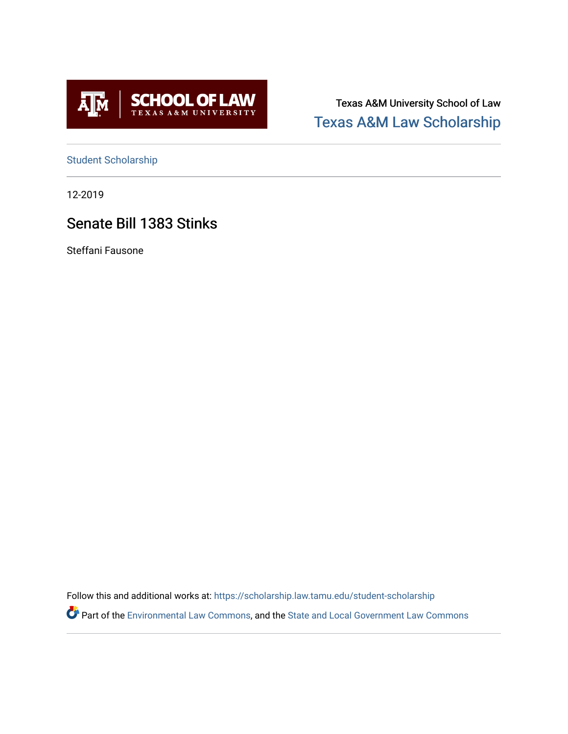

Texas A&M University School of Law [Texas A&M Law Scholarship](https://scholarship.law.tamu.edu/) 

[Student Scholarship](https://scholarship.law.tamu.edu/student-scholarship)

12-2019

# Senate Bill 1383 Stinks

Steffani Fausone

Follow this and additional works at: [https://scholarship.law.tamu.edu/student-scholarship](https://scholarship.law.tamu.edu/student-scholarship?utm_source=scholarship.law.tamu.edu%2Fstudent-scholarship%2F28&utm_medium=PDF&utm_campaign=PDFCoverPages) 

Part of the [Environmental Law Commons](https://network.bepress.com/hgg/discipline/599?utm_source=scholarship.law.tamu.edu%2Fstudent-scholarship%2F28&utm_medium=PDF&utm_campaign=PDFCoverPages), and the [State and Local Government Law Commons](https://network.bepress.com/hgg/discipline/879?utm_source=scholarship.law.tamu.edu%2Fstudent-scholarship%2F28&utm_medium=PDF&utm_campaign=PDFCoverPages)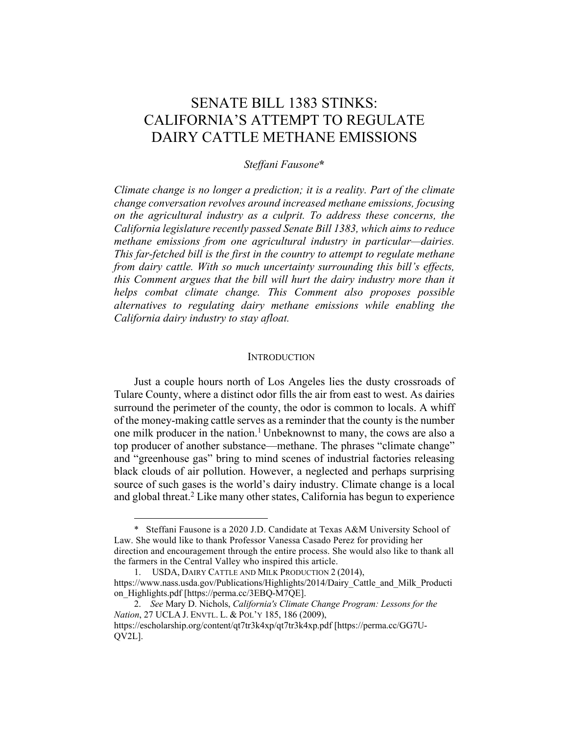# SENATE BILL 1383 STINKS: CALIFORNIA'S ATTEMPT TO REGULATE DAIRY CATTLE METHANE EMISSIONS

## *Steffani Fausone***\***

*Climate change is no longer a prediction; it is a reality. Part of the climate change conversation revolves around increased methane emissions, focusing on the agricultural industry as a culprit. To address these concerns, the California legislature recently passed Senate Bill 1383, which aims to reduce methane emissions from one agricultural industry in particular—dairies. This far-fetched bill is the first in the country to attempt to regulate methane from dairy cattle. With so much uncertainty surrounding this bill's effects, this Comment argues that the bill will hurt the dairy industry more than it helps combat climate change. This Comment also proposes possible alternatives to regulating dairy methane emissions while enabling the California dairy industry to stay afloat.*

#### **INTRODUCTION**

Just a couple hours north of Los Angeles lies the dusty crossroads of Tulare County, where a distinct odor fills the air from east to west. As dairies surround the perimeter of the county, the odor is common to locals. A whiff of the money-making cattle serves as a reminder that the county is the number one milk producer in the nation.<sup>1</sup> Unbeknownst to many, the cows are also a top producer of another substance—methane. The phrases "climate change" and "greenhouse gas" bring to mind scenes of industrial factories releasing black clouds of air pollution. However, a neglected and perhaps surprising source of such gases is the world's dairy industry. Climate change is a local and global threat.<sup>2</sup> Like many other states, California has begun to experience

Steffani Fausone is a 2020 J.D. Candidate at Texas A&M University School of Law. She would like to thank Professor Vanessa Casado Perez for providing her direction and encouragement through the entire process. She would also like to thank all the farmers in the Central Valley who inspired this article.

<sup>1.</sup> USDA, DAIRY CATTLE AND MILK PRODUCTION 2 (2014), https://www.nass.usda.gov/Publications/Highlights/2014/Dairy\_Cattle\_and\_Milk\_Producti on\_Highlights.pdf [https://perma.cc/3EBQ-M7QE].

<sup>2.</sup> *See* Mary D. Nichols, *California's Climate Change Program: Lessons for the Nation*, 27 UCLA J. ENVTL. L. & POL'Y 185, 186 (2009),

https://escholarship.org/content/qt7tr3k4xp/qt7tr3k4xp.pdf [https://perma.cc/GG7U-QV2L].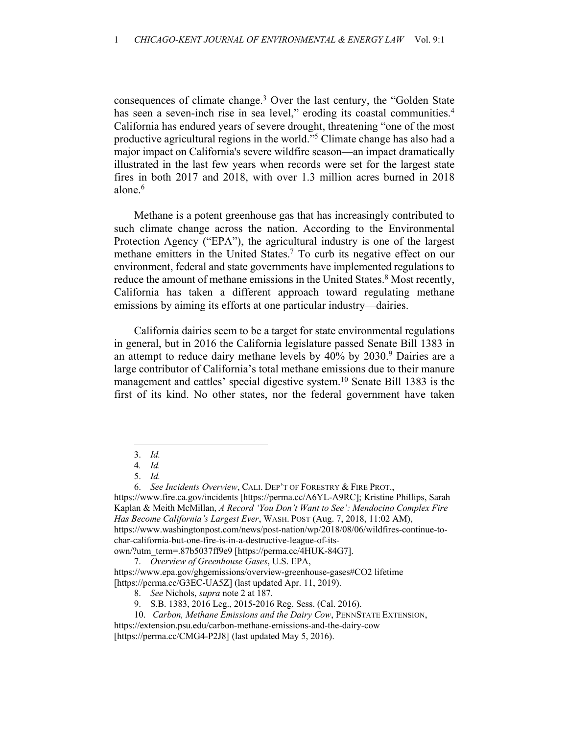consequences of climate change.3 Over the last century, the "Golden State has seen a seven-inch rise in sea level," eroding its coastal communities.<sup>4</sup> California has endured years of severe drought, threatening "one of the most productive agricultural regions in the world."5 Climate change has also had a major impact on California's severe wildfire season—an impact dramatically illustrated in the last few years when records were set for the largest state fires in both 2017 and 2018, with over 1.3 million acres burned in 2018 alone.<sup>6</sup>

Methane is a potent greenhouse gas that has increasingly contributed to such climate change across the nation. According to the Environmental Protection Agency ("EPA"), the agricultural industry is one of the largest methane emitters in the United States.7 To curb its negative effect on our environment, federal and state governments have implemented regulations to reduce the amount of methane emissions in the United States.<sup>8</sup> Most recently, California has taken a different approach toward regulating methane emissions by aiming its efforts at one particular industry—dairies.

California dairies seem to be a target for state environmental regulations in general, but in 2016 the California legislature passed Senate Bill 1383 in an attempt to reduce dairy methane levels by 40% by 2030.<sup>9</sup> Dairies are a large contributor of California's total methane emissions due to their manure management and cattles' special digestive system.10 Senate Bill 1383 is the first of its kind. No other states, nor the federal government have taken

<sup>3.</sup> *Id.*

<sup>4</sup>*. Id.*

<sup>5.</sup> *Id.*

<sup>6.</sup> *See Incidents Overview*, CALI. DEP'T OF FORESTRY & FIRE PROT.,

https://www.fire.ca.gov/incidents [https://perma.cc/A6YL-A9RC]; Kristine Phillips, Sarah Kaplan & Meith McMillan, *A Record 'You Don't Want to See': Mendocino Complex Fire Has Become California's Largest Ever*, WASH. POST (Aug. 7, 2018, 11:02 AM), https://www.washingtonpost.com/news/post-nation/wp/2018/08/06/wildfires-continue-tochar-california-but-one-fire-is-in-a-destructive-league-of-itsown/?utm\_term=.87b5037ff9e9 [https://perma.cc/4HUK-84G7].

<sup>7.</sup> *Overview of Greenhouse Gases*, U.S. EPA,

https://www.epa.gov/ghgemissions/overview-greenhouse-gases#CO2 lifetime [https://perma.cc/G3EC-UA5Z] (last updated Apr. 11, 2019).

<sup>8.</sup> *See* Nichols, *supra* note 2 at 187.

<sup>9.</sup> S.B. 1383, 2016 Leg., 2015-2016 Reg. Sess. (Cal. 2016).

<sup>10.</sup> *Carbon, Methane Emissions and the Dairy Cow*, PENNSTATE EXTENSION,

https://extension.psu.edu/carbon-methane-emissions-and-the-dairy-cow [https://perma.cc/CMG4-P2J8] (last updated May 5, 2016).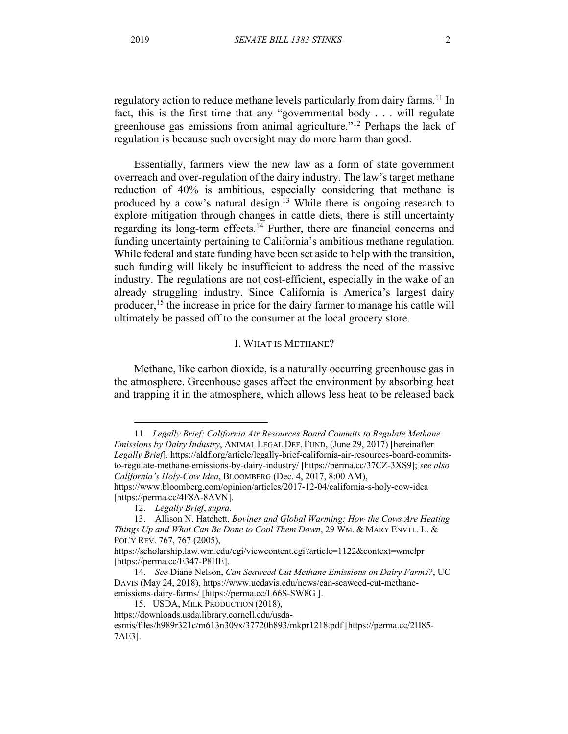regulatory action to reduce methane levels particularly from dairy farms.<sup>11</sup> In fact, this is the first time that any "governmental body . . . will regulate greenhouse gas emissions from animal agriculture."12 Perhaps the lack of regulation is because such oversight may do more harm than good.

Essentially, farmers view the new law as a form of state government overreach and over-regulation of the dairy industry. The law's target methane reduction of 40% is ambitious, especially considering that methane is produced by a cow's natural design.<sup>13</sup> While there is ongoing research to explore mitigation through changes in cattle diets, there is still uncertainty regarding its long-term effects.<sup>14</sup> Further, there are financial concerns and funding uncertainty pertaining to California's ambitious methane regulation. While federal and state funding have been set aside to help with the transition, such funding will likely be insufficient to address the need of the massive industry. The regulations are not cost-efficient, especially in the wake of an already struggling industry. Since California is America's largest dairy producer,15 the increase in price for the dairy farmer to manage his cattle will ultimately be passed off to the consumer at the local grocery store.

# I. WHAT IS METHANE?

Methane, like carbon dioxide, is a naturally occurring greenhouse gas in the atmosphere. Greenhouse gases affect the environment by absorbing heat and trapping it in the atmosphere, which allows less heat to be released back

<sup>11.</sup> *Legally Brief: California Air Resources Board Commits to Regulate Methane Emissions by Dairy Industry*, ANIMAL LEGAL DEF. FUND, (June 29, 2017) [hereinafter *Legally Brief*]. https://aldf.org/article/legally-brief-california-air-resources-board-commitsto-regulate-methane-emissions-by-dairy-industry/ [https://perma.cc/37CZ-3XS9]; *see also California's Holy-Cow Idea*, BLOOMBERG (Dec. 4, 2017, 8:00 AM),

https://www.bloomberg.com/opinion/articles/2017-12-04/california-s-holy-cow-idea [https://perma.cc/4F8A-8AVN].

<sup>12.</sup> *Legally Brief*, *supra*.

<sup>13.</sup> Allison N. Hatchett, *Bovines and Global Warming: How the Cows Are Heating Things Up and What Can Be Done to Cool Them Down*, 29 WM. & MARY ENVTL. L. & POL'Y REV. 767, 767 (2005),

https://scholarship.law.wm.edu/cgi/viewcontent.cgi?article=1122&context=wmelpr [https://perma.cc/E347-P8HE].

<sup>14.</sup> *See* Diane Nelson, *Can Seaweed Cut Methane Emissions on Dairy Farms?*, UC DAVIS (May 24, 2018), https://www.ucdavis.edu/news/can-seaweed-cut-methaneemissions-dairy-farms/ [https://perma.cc/L66S-SW8G ].

<sup>15.</sup> USDA, MILK PRODUCTION (2018),

https://downloads.usda.library.cornell.edu/usda-

esmis/files/h989r321c/m613n309x/37720h893/mkpr1218.pdf [https://perma.cc/2H85- 7AE3].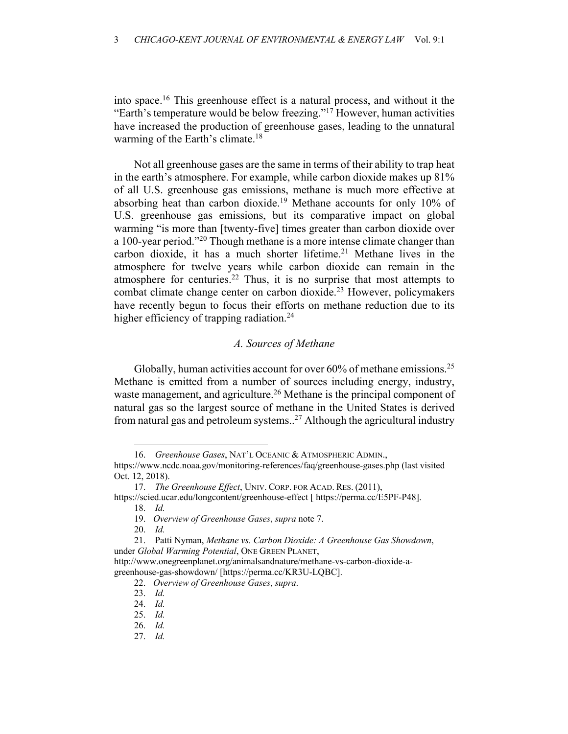into space.16 This greenhouse effect is a natural process, and without it the "Earth's temperature would be below freezing."17 However, human activities have increased the production of greenhouse gases, leading to the unnatural warming of the Earth's climate.<sup>18</sup>

Not all greenhouse gases are the same in terms of their ability to trap heat in the earth's atmosphere. For example, while carbon dioxide makes up 81% of all U.S. greenhouse gas emissions, methane is much more effective at absorbing heat than carbon dioxide.<sup>19</sup> Methane accounts for only 10% of U.S. greenhouse gas emissions, but its comparative impact on global warming "is more than [twenty-five] times greater than carbon dioxide over a 100-year period."20 Though methane is a more intense climate changer than carbon dioxide, it has a much shorter lifetime.<sup>21</sup> Methane lives in the atmosphere for twelve years while carbon dioxide can remain in the atmosphere for centuries.22 Thus, it is no surprise that most attempts to combat climate change center on carbon dioxide.23 However, policymakers have recently begun to focus their efforts on methane reduction due to its higher efficiency of trapping radiation.<sup>24</sup>

#### *A. Sources of Methane*

Globally, human activities account for over 60% of methane emissions.<sup>25</sup> Methane is emitted from a number of sources including energy, industry, waste management, and agriculture.<sup>26</sup> Methane is the principal component of natural gas so the largest source of methane in the United States is derived from natural gas and petroleum systems..27 Although the agricultural industry

<sup>16.</sup> *Greenhouse Gases*, NAT'L OCEANIC & ATMOSPHERIC ADMIN.,

https://www.ncdc.noaa.gov/monitoring-references/faq/greenhouse-gases.php (last visited Oct. 12, 2018).

<sup>17.</sup> *The Greenhouse Effect*, UNIV. CORP. FOR ACAD. RES. (2011),

https://scied.ucar.edu/longcontent/greenhouse-effect [ https://perma.cc/E5PF-P48]. 18. *Id.*

<sup>19.</sup> *Overview of Greenhouse Gases*, *supra* note 7.

<sup>20.</sup> *Id.*

<sup>21.</sup> Patti Nyman, *Methane vs. Carbon Dioxide: A Greenhouse Gas Showdown*, under *Global Warming Potential*, ONE GREEN PLANET,

http://www.onegreenplanet.org/animalsandnature/methane-vs-carbon-dioxide-agreenhouse-gas-showdown/ [https://perma.cc/KR3U-LQBC].

<sup>22.</sup> *Overview of Greenhouse Gases*, *supra*.

<sup>23.</sup> *Id.*

<sup>24.</sup> *Id.*

<sup>25.</sup> *Id.*

<sup>26.</sup> *Id.*

<sup>27.</sup> *Id.*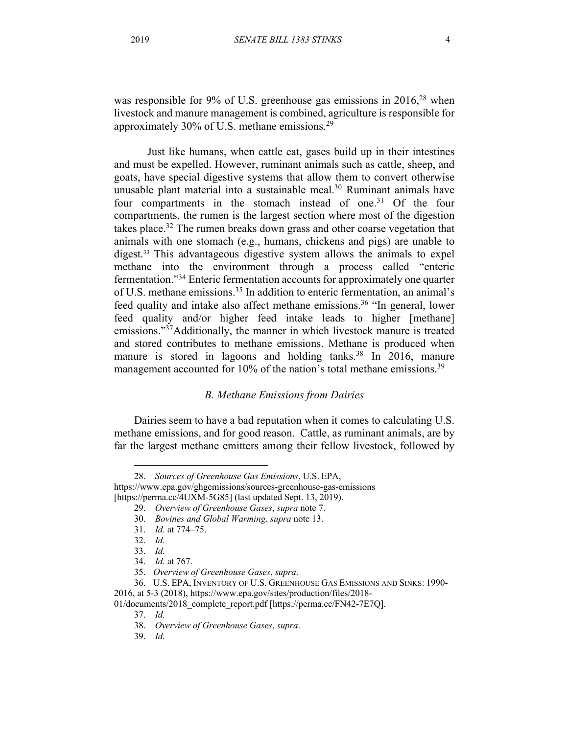was responsible for 9% of U.S. greenhouse gas emissions in 2016,<sup>28</sup> when livestock and manure management is combined, agriculture is responsible for approximately 30% of U.S. methane emissions.29

Just like humans, when cattle eat, gases build up in their intestines and must be expelled. However, ruminant animals such as cattle, sheep, and goats, have special digestive systems that allow them to convert otherwise unusable plant material into a sustainable meal.<sup>30</sup> Ruminant animals have four compartments in the stomach instead of one.<sup>31</sup> Of the four compartments, the rumen is the largest section where most of the digestion takes place.<sup>32</sup> The rumen breaks down grass and other coarse vegetation that animals with one stomach (e.g., humans, chickens and pigs) are unable to digest.33 This advantageous digestive system allows the animals to expel methane into the environment through a process called "enteric fermentation."34 Enteric fermentation accounts for approximately one quarter of U.S. methane emissions.35 In addition to enteric fermentation, an animal's feed quality and intake also affect methane emissions.<sup>36</sup> "In general, lower feed quality and/or higher feed intake leads to higher [methane] emissions."<sup>37</sup>Additionally, the manner in which livestock manure is treated and stored contributes to methane emissions. Methane is produced when manure is stored in lagoons and holding tanks.<sup>38</sup> In 2016, manure management accounted for 10% of the nation's total methane emissions.<sup>39</sup>

## *B. Methane Emissions from Dairies*

Dairies seem to have a bad reputation when it comes to calculating U.S. methane emissions, and for good reason. Cattle, as ruminant animals, are by far the largest methane emitters among their fellow livestock, followed by

<sup>28.</sup> *Sources of Greenhouse Gas Emissions*, U.S. EPA,

https://www.epa.gov/ghgemissions/sources-greenhouse-gas-emissions [https://perma.cc/4UXM-5G85] (last updated Sept. 13, 2019).

<sup>29.</sup> *Overview of Greenhouse Gases*, *supra* note 7.

<sup>30.</sup> *Bovines and Global Warming*, *supra* note 13.

<sup>31.</sup> *Id.* at 774–75.

<sup>32.</sup> *Id.*

<sup>33.</sup> *Id.*

<sup>34.</sup> *Id.* at 767.

<sup>35.</sup> *Overview of Greenhouse Gases*, *supra*.

<sup>36.</sup> U.S. EPA, INVENTORY OF U.S. GREENHOUSE GAS EMISSIONS AND SINKS: 1990-

<sup>2016,</sup> at 5-3 (2018), https://www.epa.gov/sites/production/files/2018- 01/documents/2018\_complete\_report.pdf [https://perma.cc/FN42-7E7Q].

<sup>37.</sup> *Id.*

<sup>38.</sup> *Overview of Greenhouse Gases*, *supra*.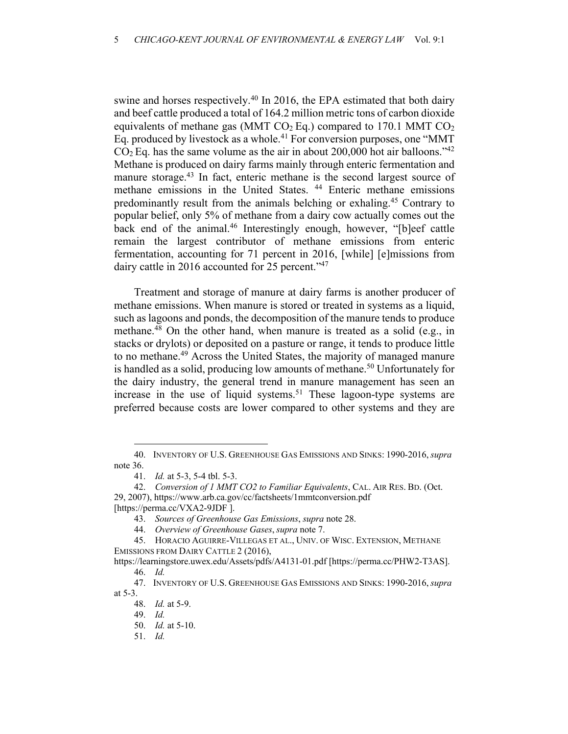swine and horses respectively.<sup>40</sup> In 2016, the EPA estimated that both dairy and beef cattle produced a total of 164.2 million metric tons of carbon dioxide equivalents of methane gas (MMT  $CO<sub>2</sub>$  Eq.) compared to 170.1 MMT  $CO<sub>2</sub>$ Eq. produced by livestock as a whole.<sup>41</sup> For conversion purposes, one "MMT  $CO<sub>2</sub>$  Eq. has the same volume as the air in about 200,000 hot air balloons."<sup>42</sup> Methane is produced on dairy farms mainly through enteric fermentation and manure storage.<sup>43</sup> In fact, enteric methane is the second largest source of methane emissions in the United States. 44 Enteric methane emissions predominantly result from the animals belching or exhaling.45 Contrary to popular belief, only 5% of methane from a dairy cow actually comes out the back end of the animal.<sup>46</sup> Interestingly enough, however, "[b]eef cattle remain the largest contributor of methane emissions from enteric fermentation, accounting for 71 percent in 2016, [while] [e]missions from dairy cattle in 2016 accounted for 25 percent."<sup>47</sup>

Treatment and storage of manure at dairy farms is another producer of methane emissions. When manure is stored or treated in systems as a liquid, such as lagoons and ponds, the decomposition of the manure tends to produce methane.<sup>48</sup> On the other hand, when manure is treated as a solid (e.g., in stacks or drylots) or deposited on a pasture or range, it tends to produce little to no methane.<sup>49</sup> Across the United States, the majority of managed manure is handled as a solid, producing low amounts of methane.<sup>50</sup> Unfortunately for the dairy industry, the general trend in manure management has seen an increase in the use of liquid systems.<sup>51</sup> These lagoon-type systems are preferred because costs are lower compared to other systems and they are

<sup>40.</sup> INVENTORY OF U.S. GREENHOUSE GAS EMISSIONS AND SINKS: 1990-2016, *supra* note 36.

<sup>41.</sup> *Id.* at 5-3, 5-4 tbl. 5-3.

<sup>42.</sup> *Conversion of 1 MMT CO2 to Familiar Equivalents*, CAL. AIR RES. BD. (Oct.

<sup>29, 2007),</sup> https://www.arb.ca.gov/cc/factsheets/1mmtconversion.pdf

<sup>[</sup>https://perma.cc/VXA2-9JDF].

<sup>43.</sup> *Sources of Greenhouse Gas Emissions*, *supra* note 28.

<sup>44.</sup> *Overview of Greenhouse Gases*, *supra* note 7.

<sup>45.</sup> HORACIO AGUIRRE-VILLEGAS ET AL., UNIV. OF WISC. EXTENSION, METHANE EMISSIONS FROM DAIRY CATTLE 2 (2016),

https://learningstore.uwex.edu/Assets/pdfs/A4131-01.pdf [https://perma.cc/PHW2-T3AS]. 46. *Id.*

<sup>47.</sup> INVENTORY OF U.S. GREENHOUSE GAS EMISSIONS AND SINKS: 1990-2016, *supra* at 5-3.

<sup>48.</sup> *Id.* at 5-9.

<sup>49.</sup> *Id.*

<sup>50.</sup> *Id.* at 5-10.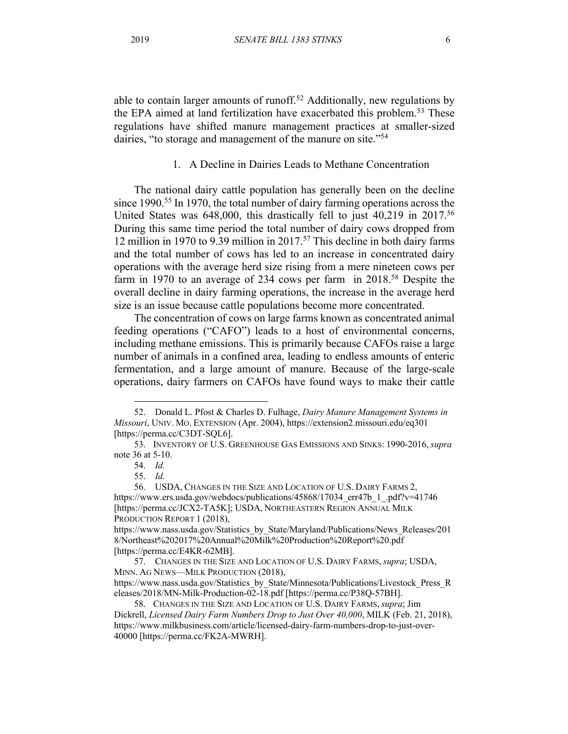able to contain larger amounts of runoff.<sup>52</sup> Additionally, new regulations by the EPA aimed at land fertilization have exacerbated this problem.<sup>53</sup> These regulations have shifted manure management practices at smaller-sized dairies, "to storage and management of the manure on site."<sup>54</sup>

# 1. A Decline in Dairies Leads to Methane Concentration

The national dairy cattle population has generally been on the decline since 1990.<sup>55</sup> In 1970, the total number of dairy farming operations across the United States was 648,000, this drastically fell to just 40,219 in 2017.<sup>56</sup> During this same time period the total number of dairy cows dropped from 12 million in 1970 to 9.39 million in 2017. <sup>57</sup> This decline in both dairy farms and the total number of cows has led to an increase in concentrated dairy operations with the average herd size rising from a mere nineteen cows per farm in 1970 to an average of 234 cows per farm in 2018.<sup>58</sup> Despite the overall decline in dairy farming operations, the increase in the average herd size is an issue because cattle populations become more concentrated.

The concentration of cows on large farms known as concentrated animal feeding operations ("CAFO") leads to a host of environmental concerns, including methane emissions. This is primarily because CAFOs raise a large number of animals in a confined area, leading to endless amounts of enteric fermentation, and a large amount of manure. Because of the large-scale operations, dairy farmers on CAFOs have found ways to make their cattle

<sup>52.</sup> Donald L. Pfost & Charles D. Fulhage, *Dairy Manure Management Systems in Missouri*, UNIV. MO. EXTENSION (Apr. 2004), https://extension2.missouri.edu/eq301 [https://perma.cc/C3DT-SQL6].

<sup>53.</sup> INVENTORY OF U.S. GREENHOUSE GAS EMISSIONS AND SINKS: 1990-2016, *supra* note 36 at 5-10.

<sup>54.</sup> *Id.*

<sup>55.</sup> *Id.*

<sup>56.</sup> USDA, CHANGES IN THE SIZE AND LOCATION OF U.S. DAIRY FARMS 2, https://www.ers.usda.gov/webdocs/publications/45868/17034\_err47b\_1\_.pdf?v=41746 [https://perma.cc/JCX2-TA5K]; USDA, NORTHEASTERN REGION ANNUAL MILK PRODUCTION REPORT 1 (2018),

https://www.nass.usda.gov/Statistics\_by\_State/Maryland/Publications/News\_Releases/201 8/Northeast%202017%20Annual%20Milk%20Production%20Report%20.pdf [https://perma.cc/E4KR-62MB].

<sup>57.</sup> CHANGES IN THE SIZE AND LOCATION OF U.S. DAIRY FARMS, *supra*; USDA, MINN. AG NEWS—MILK PRODUCTION (2018),

https://www.nass.usda.gov/Statistics\_by\_State/Minnesota/Publications/Livestock\_Press\_R eleases/2018/MN-Milk-Production-02-18.pdf [https://perma.cc/P38Q-57BH].

<sup>58.</sup> CHANGES IN THE SIZE AND LOCATION OF U.S. DAIRY FARMS, *supra*; Jim Dickrell, *Licensed Dairy Farm Numbers Drop to Just Over 40,000*, MILK (Feb. 21, 2018), https://www.milkbusiness.com/article/licensed-dairy-farm-numbers-drop-to-just-over-40000 [https://perma.cc/FK2A-MWRH].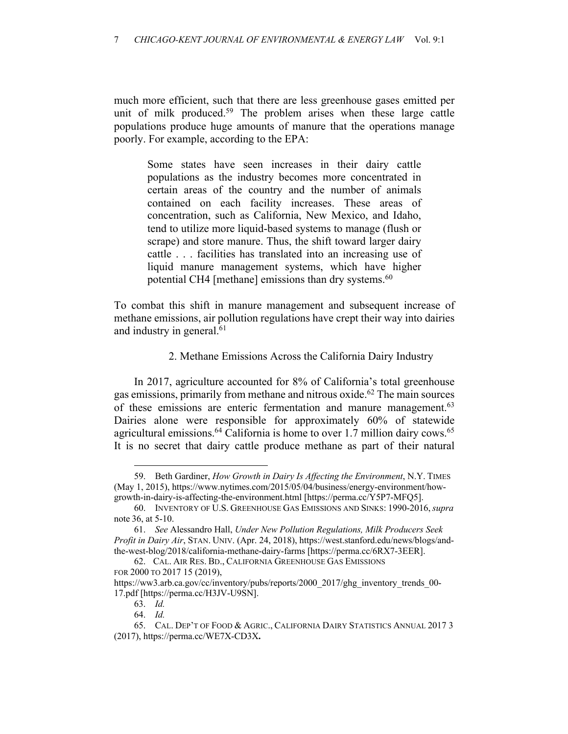much more efficient, such that there are less greenhouse gases emitted per unit of milk produced.<sup>59</sup> The problem arises when these large cattle populations produce huge amounts of manure that the operations manage poorly. For example, according to the EPA:

Some states have seen increases in their dairy cattle populations as the industry becomes more concentrated in certain areas of the country and the number of animals contained on each facility increases. These areas of concentration, such as California, New Mexico, and Idaho, tend to utilize more liquid-based systems to manage (flush or scrape) and store manure. Thus, the shift toward larger dairy cattle . . . facilities has translated into an increasing use of liquid manure management systems, which have higher potential CH4 [methane] emissions than dry systems. $60$ 

To combat this shift in manure management and subsequent increase of methane emissions, air pollution regulations have crept their way into dairies and industry in general.<sup>61</sup>

# 2. Methane Emissions Across the California Dairy Industry

In 2017, agriculture accounted for 8% of California's total greenhouse gas emissions, primarily from methane and nitrous oxide.<sup>62</sup> The main sources of these emissions are enteric fermentation and manure management.<sup>63</sup> Dairies alone were responsible for approximately 60% of statewide agricultural emissions.<sup>64</sup> California is home to over 1.7 million dairy cows.<sup>65</sup> It is no secret that dairy cattle produce methane as part of their natural

<sup>59.</sup> Beth Gardiner, *How Growth in Dairy Is Affecting the Environment*, N.Y. TIMES (May 1, 2015), https://www.nytimes.com/2015/05/04/business/energy-environment/howgrowth-in-dairy-is-affecting-the-environment.html [https://perma.cc/Y5P7-MFQ5].

<sup>60.</sup> INVENTORY OF U.S. GREENHOUSE GAS EMISSIONS AND SINKS: 1990-2016, *supra* note 36, at 5-10.

<sup>61.</sup> *See* Alessandro Hall, *Under New Pollution Regulations, Milk Producers Seek Profit in Dairy Air*, STAN. UNIV. (Apr. 24, 2018), https://west.stanford.edu/news/blogs/andthe-west-blog/2018/california-methane-dairy-farms [https://perma.cc/6RX7-3EER].

<sup>62.</sup> CAL. AIR RES. BD., CALIFORNIA GREENHOUSE GAS EMISSIONS FOR 2000 TO 2017 15 (2019),

https://ww3.arb.ca.gov/cc/inventory/pubs/reports/2000\_2017/ghg\_inventory\_trends\_00- 17.pdf [https://perma.cc/H3JV-U9SN].

<sup>63.</sup> *Id.*

<sup>64.</sup> *Id.*

<sup>65.</sup> CAL. DEP'T OF FOOD & AGRIC., CALIFORNIA DAIRY STATISTICS ANNUAL 2017 3 (2017), https://perma.cc/WE7X-CD3X**.**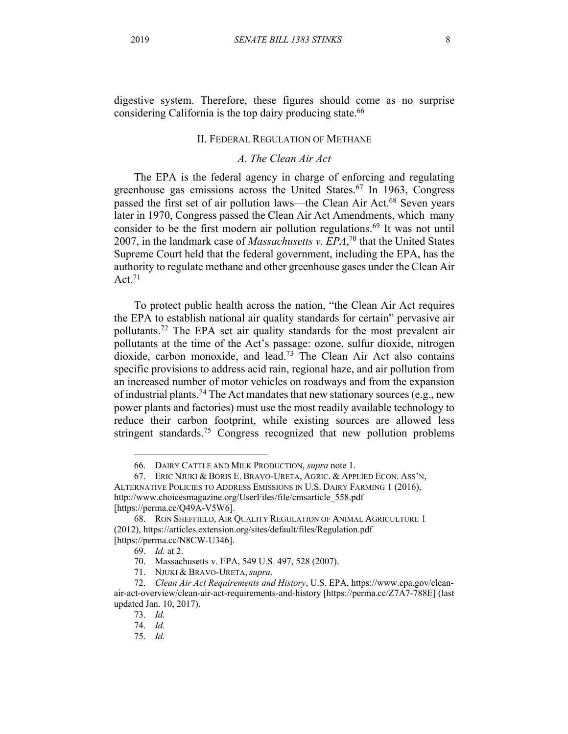digestive system. Therefore, these figures should come as no surprise considering California is the top dairy producing state.<sup>66</sup>

#### II. FEDERAL REGULATION OF METHANE

### *A. The Clean Air Act*

The EPA is the federal agency in charge of enforcing and regulating greenhouse gas emissions across the United States.<sup>67</sup> In 1963, Congress passed the first set of air pollution laws—the Clean Air Act.68 Seven years later in 1970, Congress passed the Clean Air Act Amendments, which many consider to be the first modern air pollution regulations.<sup>69</sup> It was not until 2007, in the landmark case of *Massachusetts v. EPA*, <sup>70</sup> that the United States Supreme Court held that the federal government, including the EPA, has the authority to regulate methane and other greenhouse gases under the Clean Air Act. $71$ 

To protect public health across the nation, "the Clean Air Act requires the EPA to establish national air quality standards for certain" pervasive air pollutants.72 The EPA set air quality standards for the most prevalent air pollutants at the time of the Act's passage: ozone, sulfur dioxide, nitrogen dioxide, carbon monoxide, and lead.<sup>73</sup> The Clean Air Act also contains specific provisions to address acid rain, regional haze, and air pollution from an increased number of motor vehicles on roadways and from the expansion of industrial plants.<sup>74</sup> The Act mandates that new stationary sources (e.g., new power plants and factories) must use the most readily available technology to reduce their carbon footprint, while existing sources are allowed less stringent standards.<sup>75</sup> Congress recognized that new pollution problems

<sup>66.</sup> DAIRY CATTLE AND MILK PRODUCTION, *supra* note 1.

<sup>67.</sup> ERIC NJUKI & BORIS E. BRAVO-URETA, AGRIC. & APPLIED ECON. ASS'N, ALTERNATIVE POLICIES TO ADDRESS EMISSIONS IN U.S. DAIRY FARMING 1 (2016), http://www.choicesmagazine.org/UserFiles/file/cmsarticle\_558.pdf [https://perma.cc/Q49A-V5W6].

<sup>68.</sup> RON SHEFFIELD, AIR QUALITY REGULATION OF ANIMAL AGRICULTURE 1 (2012), https://articles.extension.org/sites/default/files/Regulation.pdf [https://perma.cc/N8CW-U346].

<sup>69.</sup> *Id.* at 2.

<sup>70.</sup> Massachusetts v. EPA, 549 U.S. 497, 528 (2007).

<sup>71.</sup> NJUKI & BRAVO-URETA, *supra*.

<sup>72.</sup> *Clean Air Act Requirements and History*, U.S. EPA, https://www.epa.gov/cleanair-act-overview/clean-air-act-requirements-and-history [https://perma.cc/Z7A7-788E] (last updated Jan. 10, 2017).

<sup>73.</sup> *Id.* 

<sup>74.</sup> *Id.*

<sup>75.</sup> *Id.*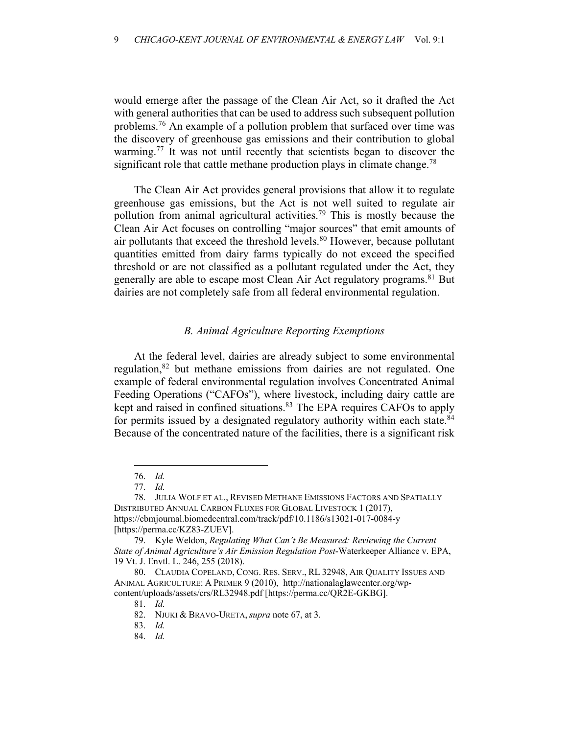would emerge after the passage of the Clean Air Act, so it drafted the Act with general authorities that can be used to address such subsequent pollution problems.76 An example of a pollution problem that surfaced over time was the discovery of greenhouse gas emissions and their contribution to global warming.77 It was not until recently that scientists began to discover the significant role that cattle methane production plays in climate change.<sup>78</sup>

The Clean Air Act provides general provisions that allow it to regulate greenhouse gas emissions, but the Act is not well suited to regulate air pollution from animal agricultural activities.79 This is mostly because the Clean Air Act focuses on controlling "major sources" that emit amounts of air pollutants that exceed the threshold levels.<sup>80</sup> However, because pollutant quantities emitted from dairy farms typically do not exceed the specified threshold or are not classified as a pollutant regulated under the Act, they generally are able to escape most Clean Air Act regulatory programs.<sup>81</sup> But dairies are not completely safe from all federal environmental regulation.

# *B. Animal Agriculture Reporting Exemptions*

At the federal level, dairies are already subject to some environmental regulation,<sup>82</sup> but methane emissions from dairies are not regulated. One example of federal environmental regulation involves Concentrated Animal Feeding Operations ("CAFOs"), where livestock, including dairy cattle are kept and raised in confined situations.<sup>83</sup> The EPA requires CAFOs to apply for permits issued by a designated regulatory authority within each state.<sup>84</sup> Because of the concentrated nature of the facilities, there is a significant risk

<sup>76.</sup> *Id.*

<sup>77.</sup> *Id.*

<sup>78.</sup> JULIA WOLF ET AL., REVISED METHANE EMISSIONS FACTORS AND SPATIALLY DISTRIBUTED ANNUAL CARBON FLUXES FOR GLOBAL LIVESTOCK 1 (2017), https://cbmjournal.biomedcentral.com/track/pdf/10.1186/s13021-017-0084-y [https://perma.cc/KZ83-ZUEV].

<sup>79.</sup> Kyle Weldon, *Regulating What Can't Be Measured: Reviewing the Current State of Animal Agriculture's Air Emission Regulation Post*-Waterkeeper Alliance v. EPA, 19 Vt. J. Envtl. L. 246, 255 (2018).

<sup>80.</sup> CLAUDIA COPELAND, CONG. RES. SERV., RL 32948, AIR QUALITY ISSUES AND ANIMAL AGRICULTURE: A PRIMER 9 (2010), http://nationalaglawcenter.org/wpcontent/uploads/assets/crs/RL32948.pdf [https://perma.cc/QR2E-GKBG].

<sup>81.</sup> *Id.*

<sup>82.</sup> NJUKI & BRAVO-URETA, *supra* note 67, at 3.

<sup>83.</sup> *Id.*

<sup>84.</sup> *Id.*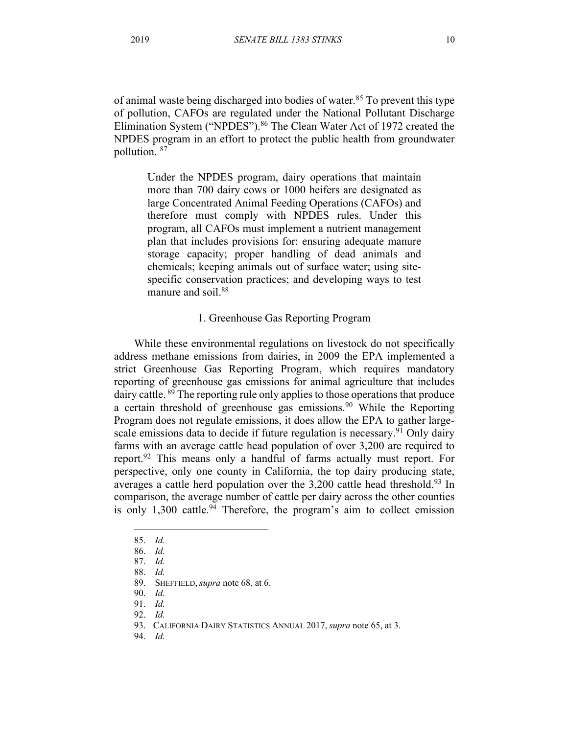of animal waste being discharged into bodies of water.85 To prevent this type of pollution, CAFOs are regulated under the National Pollutant Discharge Elimination System ("NPDES").<sup>86</sup> The Clean Water Act of 1972 created the NPDES program in an effort to protect the public health from groundwater pollution. 87

Under the NPDES program, dairy operations that maintain more than 700 dairy cows or 1000 heifers are designated as large Concentrated Animal Feeding Operations (CAFOs) and therefore must comply with NPDES rules. Under this program, all CAFOs must implement a nutrient management plan that includes provisions for: ensuring adequate manure storage capacity; proper handling of dead animals and chemicals; keeping animals out of surface water; using sitespecific conservation practices; and developing ways to test manure and soil.<sup>88</sup>

### 1. Greenhouse Gas Reporting Program

While these environmental regulations on livestock do not specifically address methane emissions from dairies, in 2009 the EPA implemented a strict Greenhouse Gas Reporting Program, which requires mandatory reporting of greenhouse gas emissions for animal agriculture that includes dairy cattle. <sup>89</sup> The reporting rule only applies to those operations that produce a certain threshold of greenhouse gas emissions.<sup>90</sup> While the Reporting Program does not regulate emissions, it does allow the EPA to gather largescale emissions data to decide if future regulation is necessary.<sup>91</sup> Only dairy farms with an average cattle head population of over 3,200 are required to report.<sup>92</sup> This means only a handful of farms actually must report. For perspective, only one county in California, the top dairy producing state, averages a cattle herd population over the  $3,200$  cattle head threshold.<sup>93</sup> In comparison, the average number of cattle per dairy across the other counties is only 1,300 cattle.<sup>94</sup> Therefore, the program's aim to collect emission

85. *Id.*

<sup>86.</sup> *Id.*

<sup>87.</sup> *Id.*

<sup>88.</sup> *Id.*

<sup>89.</sup> SHEFFIELD, *supra* note 68, at 6.

<sup>90.</sup> *Id.*

<sup>91.</sup> *Id.*

<sup>92.</sup> *Id.*

<sup>93.</sup> CALIFORNIA DAIRY STATISTICS ANNUAL 2017, *supra* note 65, at 3.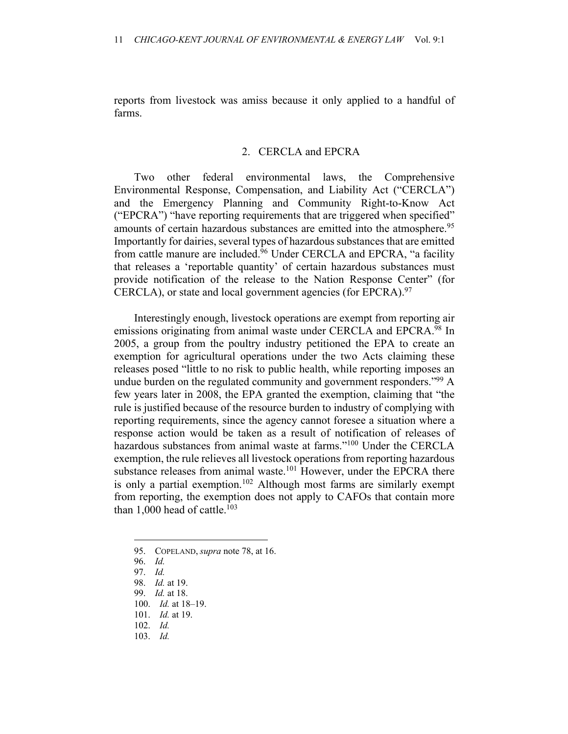reports from livestock was amiss because it only applied to a handful of farms.

#### 2. CERCLA and EPCRA

Two other federal environmental laws, the Comprehensive Environmental Response, Compensation, and Liability Act ("CERCLA") and the Emergency Planning and Community Right-to-Know Act ("EPCRA") "have reporting requirements that are triggered when specified" amounts of certain hazardous substances are emitted into the atmosphere.<sup>95</sup> Importantly for dairies, several types of hazardous substances that are emitted from cattle manure are included.96 Under CERCLA and EPCRA, "a facility that releases a 'reportable quantity' of certain hazardous substances must provide notification of the release to the Nation Response Center" (for CERCLA), or state and local government agencies (for EPCRA).<sup>97</sup>

Interestingly enough, livestock operations are exempt from reporting air emissions originating from animal waste under CERCLA and EPCRA.<sup>98</sup> In 2005, a group from the poultry industry petitioned the EPA to create an exemption for agricultural operations under the two Acts claiming these releases posed "little to no risk to public health, while reporting imposes an undue burden on the regulated community and government responders."<sup>99</sup> A few years later in 2008, the EPA granted the exemption, claiming that "the rule is justified because of the resource burden to industry of complying with reporting requirements, since the agency cannot foresee a situation where a response action would be taken as a result of notification of releases of hazardous substances from animal waste at farms."<sup>100</sup> Under the CERCLA exemption, the rule relieves all livestock operations from reporting hazardous substance releases from animal waste.<sup>101</sup> However, under the EPCRA there is only a partial exemption.<sup>102</sup> Although most farms are similarly exempt from reporting, the exemption does not apply to CAFOs that contain more than 1,000 head of cattle.<sup>103</sup>

- 101. *Id.* at 19.
- 102. *Id.*
- 103. *Id.*

<sup>95.</sup> COPELAND, *supra* note 78, at 16.

<sup>96.</sup> *Id.*

<sup>97.</sup> *Id.*

<sup>98.</sup> *Id.* at 19. 99. *Id.* at 18.

<sup>100.</sup> *Id.* at 18–19.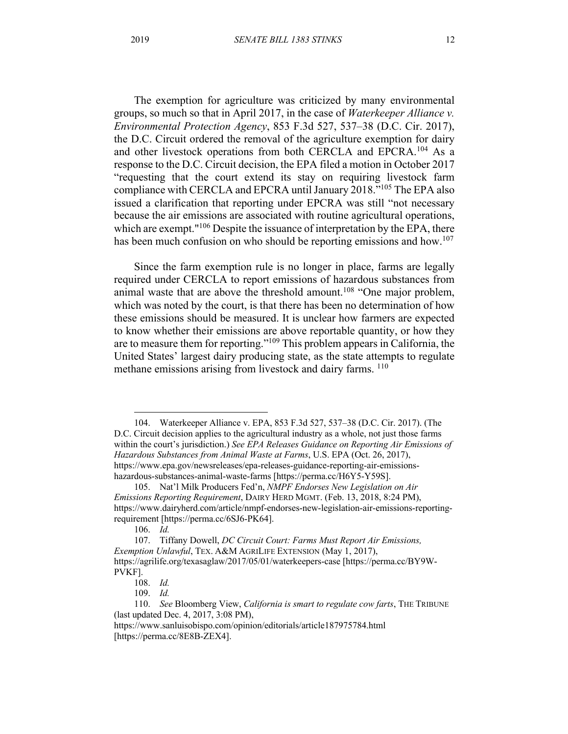The exemption for agriculture was criticized by many environmental groups, so much so that in April 2017, in the case of *Waterkeeper Alliance v. Environmental Protection Agency*, 853 F.3d 527, 537–38 (D.C. Cir. 2017), the D.C. Circuit ordered the removal of the agriculture exemption for dairy and other livestock operations from both CERCLA and EPCRA.104 As a response to the D.C. Circuit decision, the EPA filed a motion in October 2017 "requesting that the court extend its stay on requiring livestock farm compliance with CERCLA and EPCRA until January 2018."105 The EPA also issued a clarification that reporting under EPCRA was still "not necessary because the air emissions are associated with routine agricultural operations, which are exempt."<sup>106</sup> Despite the issuance of interpretation by the EPA, there has been much confusion on who should be reporting emissions and how.<sup>107</sup>

Since the farm exemption rule is no longer in place, farms are legally required under CERCLA to report emissions of hazardous substances from animal waste that are above the threshold amount.<sup>108</sup> "One major problem, which was noted by the court, is that there has been no determination of how these emissions should be measured. It is unclear how farmers are expected to know whether their emissions are above reportable quantity, or how they are to measure them for reporting."109 This problem appears in California, the United States' largest dairy producing state, as the state attempts to regulate methane emissions arising from livestock and dairy farms. <sup>110</sup>

104. Waterkeeper Alliance v. EPA, 853 F.3d 527, 537–38 (D.C. Cir. 2017). (The D.C. Circuit decision applies to the agricultural industry as a whole, not just those farms within the court's jurisdiction.) *See EPA Releases Guidance on Reporting Air Emissions of Hazardous Substances from Animal Waste at Farms*, U.S. EPA (Oct. 26, 2017), https://www.epa.gov/newsreleases/epa-releases-guidance-reporting-air-emissionshazardous-substances-animal-waste-farms [https://perma.cc/H6Y5-Y59S].

<sup>105.</sup> Nat'l Milk Producers Fed'n, *NMPF Endorses New Legislation on Air Emissions Reporting Requirement*, DAIRY HERD MGMT. (Feb. 13, 2018, 8:24 PM), https://www.dairyherd.com/article/nmpf-endorses-new-legislation-air-emissions-reportingrequirement [https://perma.cc/6SJ6-PK64].

<sup>106.</sup> *Id.*

<sup>107.</sup> Tiffany Dowell, *DC Circuit Court: Farms Must Report Air Emissions, Exemption Unlawful*, TEX. A&M AGRILIFE EXTENSION (May 1, 2017), https://agrilife.org/texasaglaw/2017/05/01/waterkeepers-case [https://perma.cc/BY9W-PVKF].

<sup>108.</sup> *Id.*

<sup>109.</sup> *Id.*

<sup>110.</sup> *See* Bloomberg View, *California is smart to regulate cow farts*, THE TRIBUNE (last updated Dec. 4, 2017, 3:08 PM),

https://www.sanluisobispo.com/opinion/editorials/article187975784.html [https://perma.cc/8E8B-ZEX4].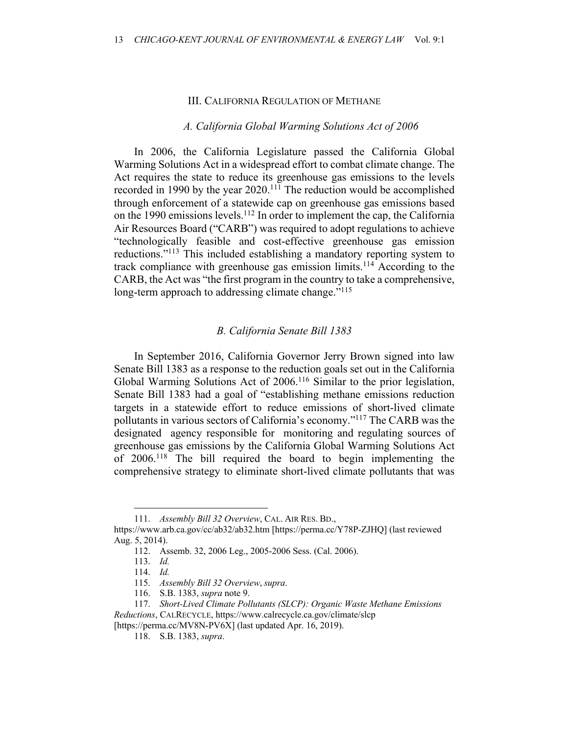#### III. CALIFORNIA REGULATION OF METHANE

#### *A. California Global Warming Solutions Act of 2006*

In 2006, the California Legislature passed the California Global Warming Solutions Act in a widespread effort to combat climate change. The Act requires the state to reduce its greenhouse gas emissions to the levels recorded in 1990 by the year 2020.<sup>111</sup> The reduction would be accomplished through enforcement of a statewide cap on greenhouse gas emissions based on the 1990 emissions levels.112 In order to implement the cap, the California Air Resources Board ("CARB") was required to adopt regulations to achieve "technologically feasible and cost-effective greenhouse gas emission reductions."113 This included establishing a mandatory reporting system to track compliance with greenhouse gas emission limits.<sup>114</sup> According to the CARB, the Act was "the first program in the country to take a comprehensive, long-term approach to addressing climate change."<sup>115</sup>

# *B. California Senate Bill 1383*

In September 2016, California Governor Jerry Brown signed into law Senate Bill 1383 as a response to the reduction goals set out in the California Global Warming Solutions Act of 2006.<sup>116</sup> Similar to the prior legislation, Senate Bill 1383 had a goal of "establishing methane emissions reduction targets in a statewide effort to reduce emissions of short-lived climate pollutants in various sectors of California's economy."117 The CARB was the designated agency responsible for monitoring and regulating sources of greenhouse gas emissions by the California Global Warming Solutions Act of 2006.118 The bill required the board to begin implementing the comprehensive strategy to eliminate short-lived climate pollutants that was

<sup>111.</sup> *Assembly Bill 32 Overview*, CAL. AIR RES. BD.,

https://www.arb.ca.gov/cc/ab32/ab32.htm [https://perma.cc/Y78P-ZJHQ] (last reviewed Aug. 5, 2014).

<sup>112.</sup> Assemb. 32, 2006 Leg., 2005-2006 Sess. (Cal. 2006).

<sup>113.</sup> *Id.*

<sup>114.</sup> *Id.*

<sup>115.</sup> *Assembly Bill 32 Overview*, *supra*.

<sup>116.</sup> S.B. 1383, *supra* note 9.

<sup>117.</sup> *Short-Lived Climate Pollutants (SLCP): Organic Waste Methane Emissions Reductions*, CALRECYCLE, https://www.calrecycle.ca.gov/climate/slcp

<sup>[</sup>https://perma.cc/MV8N-PV6X] (last updated Apr. 16, 2019).

<sup>118.</sup> S.B. 1383, *supra*.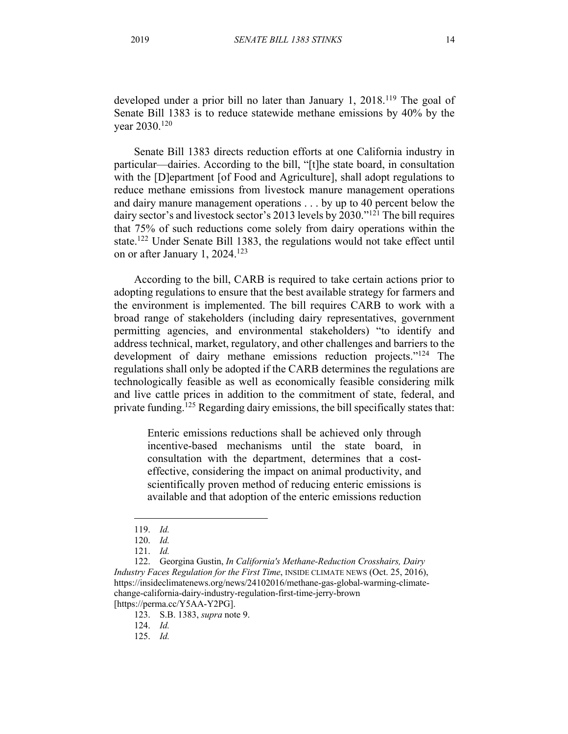developed under a prior bill no later than January 1, 2018.119 The goal of Senate Bill 1383 is to reduce statewide methane emissions by 40% by the year 2030.120

Senate Bill 1383 directs reduction efforts at one California industry in particular—dairies. According to the bill, "[t]he state board, in consultation with the [D]epartment [of Food and Agriculture], shall adopt regulations to reduce methane emissions from livestock manure management operations and dairy manure management operations . . . by up to 40 percent below the dairy sector's and livestock sector's 2013 levels by 2030."121 The bill requires that 75% of such reductions come solely from dairy operations within the state.122 Under Senate Bill 1383, the regulations would not take effect until on or after January 1, 2024.123

According to the bill, CARB is required to take certain actions prior to adopting regulations to ensure that the best available strategy for farmers and the environment is implemented. The bill requires CARB to work with a broad range of stakeholders (including dairy representatives, government permitting agencies, and environmental stakeholders) "to identify and address technical, market, regulatory, and other challenges and barriers to the development of dairy methane emissions reduction projects."<sup>124</sup> The regulations shall only be adopted if the CARB determines the regulations are technologically feasible as well as economically feasible considering milk and live cattle prices in addition to the commitment of state, federal, and private funding.<sup>125</sup> Regarding dairy emissions, the bill specifically states that:

Enteric emissions reductions shall be achieved only through incentive-based mechanisms until the state board, in consultation with the department, determines that a costeffective, considering the impact on animal productivity, and scientifically proven method of reducing enteric emissions is available and that adoption of the enteric emissions reduction

<sup>119.</sup> *Id.*

<sup>120.</sup> *Id.*

<sup>121.</sup> *Id.*

<sup>122.</sup> Georgina Gustin, *In California's Methane-Reduction Crosshairs, Dairy Industry Faces Regulation for the First Time*, INSIDE CLIMATE NEWS (Oct. 25, 2016), https://insideclimatenews.org/news/24102016/methane-gas-global-warming-climatechange-california-dairy-industry-regulation-first-time-jerry-brown [https://perma.cc/Y5AA-Y2PG].

<sup>123.</sup> S.B. 1383, *supra* note 9.

<sup>124.</sup> *Id.* 

<sup>125.</sup> *Id.*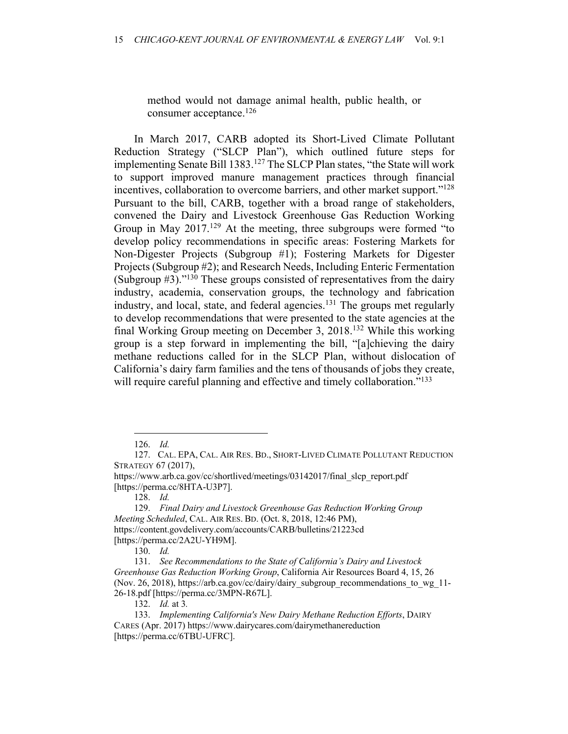method would not damage animal health, public health, or consumer acceptance.126

In March 2017, CARB adopted its Short-Lived Climate Pollutant Reduction Strategy ("SLCP Plan"), which outlined future steps for implementing Senate Bill 1383.127 The SLCP Plan states, "the State will work to support improved manure management practices through financial incentives, collaboration to overcome barriers, and other market support."128 Pursuant to the bill, CARB, together with a broad range of stakeholders, convened the Dairy and Livestock Greenhouse Gas Reduction Working Group in May 2017.<sup>129</sup> At the meeting, three subgroups were formed "to develop policy recommendations in specific areas: Fostering Markets for Non-Digester Projects (Subgroup #1); Fostering Markets for Digester Projects (Subgroup #2); and Research Needs, Including Enteric Fermentation (Subgroup  $#3$ )."<sup>130</sup> These groups consisted of representatives from the dairy industry, academia, conservation groups, the technology and fabrication industry, and local, state, and federal agencies. $131$  The groups met regularly to develop recommendations that were presented to the state agencies at the final Working Group meeting on December 3, 2018.132 While this working group is a step forward in implementing the bill, "[a]chieving the dairy methane reductions called for in the SLCP Plan, without dislocation of California's dairy farm families and the tens of thousands of jobs they create, will require careful planning and effective and timely collaboration."<sup>133</sup>

<sup>126.</sup> *Id.*

<sup>127.</sup> CAL. EPA, CAL. AIR RES. BD., SHORT-LIVED CLIMATE POLLUTANT REDUCTION STRATEGY 67 (2017),

https://www.arb.ca.gov/cc/shortlived/meetings/03142017/final\_slcp\_report.pdf [https://perma.cc/8HTA-U3P7].

<sup>129.</sup> *Final Dairy and Livestock Greenhouse Gas Reduction Working Group Meeting Scheduled*, CAL. AIR RES. BD. (Oct. 8, 2018, 12:46 PM), https://content.govdelivery.com/accounts/CARB/bulletins/21223cd [https://perma.cc/2A2U-YH9M].

<sup>130.</sup> *Id.*

<sup>131.</sup> *See Recommendations to the State of California's Dairy and Livestock Greenhouse Gas Reduction Working Group*, California Air Resources Board 4, 15, 26 (Nov. 26, 2018), https://arb.ca.gov/cc/dairy/dairy\_subgroup\_recommendations\_to\_wg\_11- 26-18.pdf [https://perma.cc/3MPN-R67L].

<sup>132.</sup> *Id.* at 3*.*

<sup>133.</sup> *Implementing California's New Dairy Methane Reduction Efforts*, DAIRY CARES (Apr. 2017) https://www.dairycares.com/dairymethanereduction [https://perma.cc/6TBU-UFRC].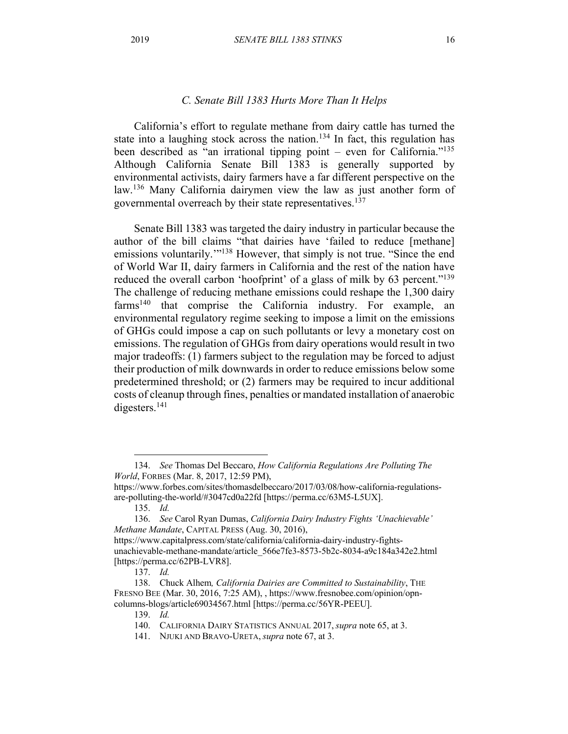# *C. Senate Bill 1383 Hurts More Than It Helps*

California's effort to regulate methane from dairy cattle has turned the state into a laughing stock across the nation.<sup>134</sup> In fact, this regulation has been described as "an irrational tipping point – even for California."<sup>135</sup> Although California Senate Bill 1383 is generally supported by environmental activists, dairy farmers have a far different perspective on the law.136 Many California dairymen view the law as just another form of governmental overreach by their state representatives.<sup>137</sup>

Senate Bill 1383 was targeted the dairy industry in particular because the author of the bill claims "that dairies have 'failed to reduce [methane] emissions voluntarily.'"138 However, that simply is not true. "Since the end of World War II, dairy farmers in California and the rest of the nation have reduced the overall carbon 'hoofprint' of a glass of milk by 63 percent."<sup>139</sup> The challenge of reducing methane emissions could reshape the 1,300 dairy  $farms<sup>140</sup>$  that comprise the California industry. For example, an environmental regulatory regime seeking to impose a limit on the emissions of GHGs could impose a cap on such pollutants or levy a monetary cost on emissions. The regulation of GHGs from dairy operations would result in two major tradeoffs: (1) farmers subject to the regulation may be forced to adjust their production of milk downwards in order to reduce emissions below some predetermined threshold; or (2) farmers may be required to incur additional costs of cleanup through fines, penalties or mandated installation of anaerobic digesters.141

<sup>134.</sup> *See* Thomas Del Beccaro, *How California Regulations Are Polluting The World*, FORBES (Mar. 8, 2017, 12:59 PM),

https://www.forbes.com/sites/thomasdelbeccaro/2017/03/08/how-california-regulationsare-polluting-the-world/#3047cd0a22fd [https://perma.cc/63M5-L5UX].

<sup>135.</sup> *Id.*

<sup>136.</sup> *See* Carol Ryan Dumas, *California Dairy Industry Fights 'Unachievable' Methane Mandate*, CAPITAL PRESS (Aug. 30, 2016), https://www.capitalpress.com/state/california/california-dairy-industry-fights-

unachievable-methane-mandate/article\_566e7fe3-8573-5b2c-8034-a9c184a342e2.html [https://perma.cc/62PB-LVR8].

<sup>137.</sup> *Id.*

<sup>138.</sup> Chuck Alhem*, California Dairies are Committed to Sustainability*, THE FRESNO BEE (Mar. 30, 2016, 7:25 AM), , https://www.fresnobee.com/opinion/opncolumns-blogs/article69034567.html [https://perma.cc/56YR-PEEU].

<sup>139.</sup> *Id.*

<sup>140.</sup> CALIFORNIA DAIRY STATISTICS ANNUAL 2017, *supra* note 65, at 3.

<sup>141.</sup> NJUKI AND BRAVO-URETA, *supra* note 67, at 3.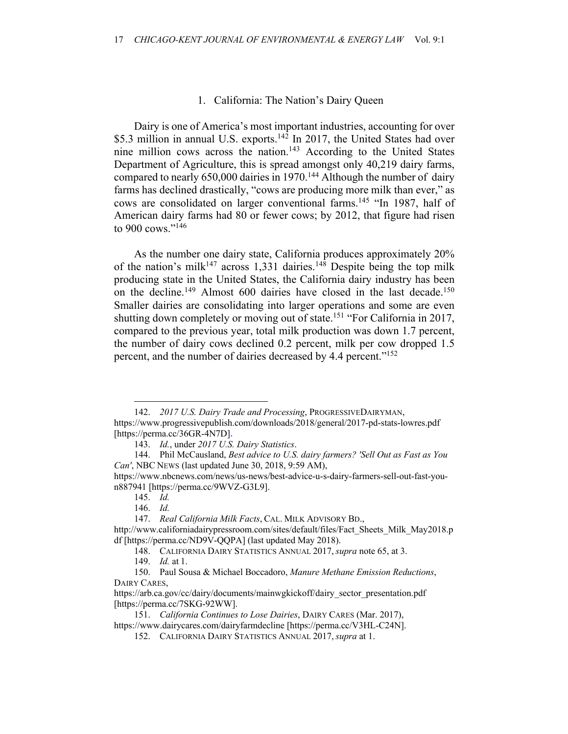#### 1. California: The Nation's Dairy Queen

Dairy is one of America's most important industries, accounting for over \$5.3 million in annual U.S. exports.<sup>142</sup> In 2017, the United States had over nine million cows across the nation.143 According to the United States Department of Agriculture, this is spread amongst only 40,219 dairy farms, compared to nearly  $650,000$  dairies in 1970.<sup>144</sup> Although the number of dairy farms has declined drastically, "cows are producing more milk than ever," as cows are consolidated on larger conventional farms.<sup>145</sup> "In 1987, half of American dairy farms had 80 or fewer cows; by 2012, that figure had risen to 900 cows."146

As the number one dairy state, California produces approximately 20% of the nation's milk<sup>147</sup> across 1,331 dairies.<sup>148</sup> Despite being the top milk producing state in the United States, the California dairy industry has been on the decline.<sup>149</sup> Almost 600 dairies have closed in the last decade.<sup>150</sup> Smaller dairies are consolidating into larger operations and some are even shutting down completely or moving out of state.<sup>151</sup> "For California in 2017, compared to the previous year, total milk production was down 1.7 percent, the number of dairy cows declined 0.2 percent, milk per cow dropped 1.5 percent, and the number of dairies decreased by 4.4 percent."152

<sup>142.</sup> *2017 U.S. Dairy Trade and Processing*, PROGRESSIVEDAIRYMAN, https://www.progressivepublish.com/downloads/2018/general/2017-pd-stats-lowres.pdf [https://perma.cc/36GR-4N7D]**.**

<sup>143.</sup> *Id.*, under *2017 U.S. Dairy Statistics*.

<sup>144.</sup> Phil McCausland, *Best advice to U.S. dairy farmers? 'Sell Out as Fast as You Can'*, NBC NEWS (last updated June 30, 2018, 9:59 AM),

https://www.nbcnews.com/news/us-news/best-advice-u-s-dairy-farmers-sell-out-fast-youn887941 [https://perma.cc/9WVZ-G3L9].

<sup>145.</sup> *Id.*

<sup>146.</sup> *Id.*

<sup>147.</sup> *Real California Milk Facts*, CAL. MILK ADVISORY BD.,

http://www.californiadairypressroom.com/sites/default/files/Fact\_Sheets\_Milk\_May2018.p df [https://perma.cc/ND9V-QQPA] (last updated May 2018).

<sup>148.</sup> CALIFORNIA DAIRY STATISTICS ANNUAL 2017, *supra* note 65, at 3.

<sup>149.</sup> *Id.* at 1.

<sup>150.</sup> Paul Sousa & Michael Boccadoro, *Manure Methane Emission Reductions*, DAIRY CARES,

https://arb.ca.gov/cc/dairy/documents/mainwgkickoff/dairy\_sector\_presentation.pdf [https://perma.cc/7SKG-92WW].

<sup>151.</sup> *California Continues to Lose Dairies*, DAIRY CARES (Mar. 2017), https://www.dairycares.com/dairyfarmdecline [https://perma.cc/V3HL-C24N].

<sup>152.</sup> CALIFORNIA DAIRY STATISTICS ANNUAL 2017, *supra* at 1.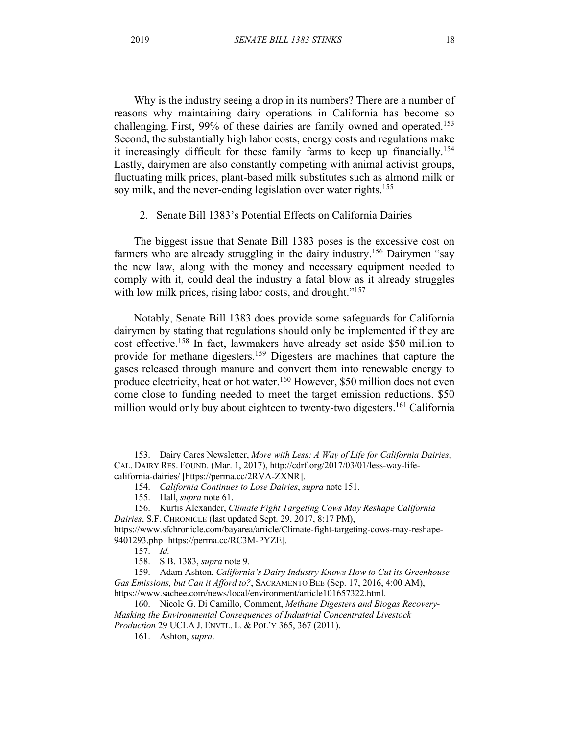Why is the industry seeing a drop in its numbers? There are a number of reasons why maintaining dairy operations in California has become so challenging. First, 99% of these dairies are family owned and operated.153 Second, the substantially high labor costs, energy costs and regulations make it increasingly difficult for these family farms to keep up financially.<sup>154</sup> Lastly, dairymen are also constantly competing with animal activist groups, fluctuating milk prices, plant-based milk substitutes such as almond milk or soy milk, and the never-ending legislation over water rights.<sup>155</sup>

2. Senate Bill 1383's Potential Effects on California Dairies

The biggest issue that Senate Bill 1383 poses is the excessive cost on farmers who are already struggling in the dairy industry.156 Dairymen "say the new law, along with the money and necessary equipment needed to comply with it, could deal the industry a fatal blow as it already struggles with low milk prices, rising labor costs, and drought."<sup>157</sup>

Notably, Senate Bill 1383 does provide some safeguards for California dairymen by stating that regulations should only be implemented if they are cost effective.158 In fact, lawmakers have already set aside \$50 million to provide for methane digesters.159 Digesters are machines that capture the gases released through manure and convert them into renewable energy to produce electricity, heat or hot water.160 However, \$50 million does not even come close to funding needed to meet the target emission reductions. \$50 million would only buy about eighteen to twenty-two digesters.<sup>161</sup> California

<sup>153.</sup> Dairy Cares Newsletter, *More with Less: A Way of Life for California Dairies*, CAL. DAIRY RES. FOUND. (Mar. 1, 2017), http://cdrf.org/2017/03/01/less-way-lifecalifornia-dairies/ [https://perma.cc/2RVA-ZXNR].

<sup>154.</sup> *California Continues to Lose Dairies*, *supra* note 151.

<sup>155.</sup> Hall, *supra* note 61.

<sup>156.</sup> Kurtis Alexander, *Climate Fight Targeting Cows May Reshape California Dairies*, S.F. CHRONICLE (last updated Sept. 29, 2017, 8:17 PM), https://www.sfchronicle.com/bayarea/article/Climate-fight-targeting-cows-may-reshape-9401293.php [https://perma.cc/RC3M-PYZE].

<sup>157.</sup> *Id.*

<sup>158.</sup> S.B. 1383, *supra* note 9.

<sup>159.</sup> Adam Ashton, *California's Dairy Industry Knows How to Cut its Greenhouse Gas Emissions, but Can it Afford to?*, SACRAMENTO BEE (Sep. 17, 2016, 4:00 AM), https://www.sacbee.com/news/local/environment/article101657322.html.

<sup>160.</sup> Nicole G. Di Camillo, Comment, *Methane Digesters and Biogas Recovery-Masking the Environmental Consequences of Industrial Concentrated Livestock Production* 29 UCLA J. ENVTL. L. & POL'Y 365, 367 (2011).

<sup>161.</sup> Ashton, *supra*.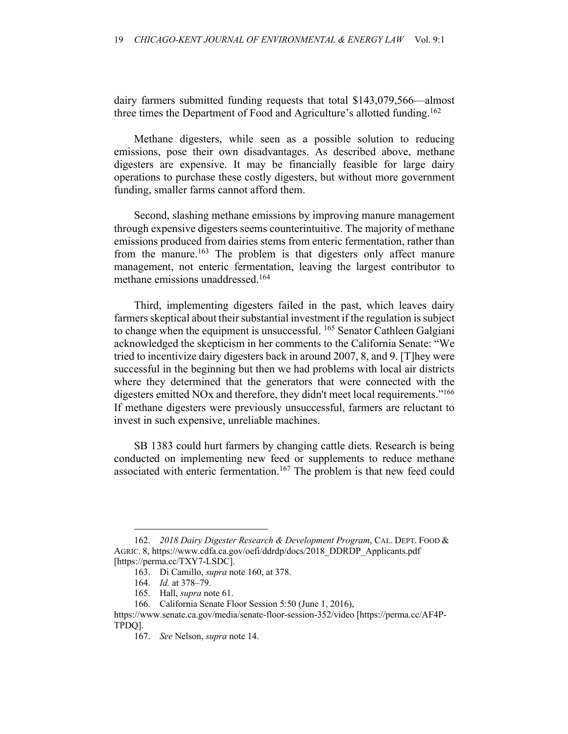dairy farmers submitted funding requests that total \$143,079,566—almost three times the Department of Food and Agriculture's allotted funding.<sup>162</sup>

Methane digesters, while seen as a possible solution to reducing emissions, pose their own disadvantages. As described above, methane digesters are expensive. It may be financially feasible for large dairy operations to purchase these costly digesters, but without more government funding, smaller farms cannot afford them.

Second, slashing methane emissions by improving manure management through expensive digesters seems counterintuitive. The majority of methane emissions produced from dairies stems from enteric fermentation, rather than from the manure.<sup>163</sup> The problem is that digesters only affect manure management, not enteric fermentation, leaving the largest contributor to methane emissions unaddressed.164

Third, implementing digesters failed in the past, which leaves dairy farmers skeptical about their substantial investment if the regulation is subject to change when the equipment is unsuccessful. <sup>165</sup> Senator Cathleen Galgiani acknowledged the skepticism in her comments to the California Senate: "We tried to incentivize dairy digesters back in around 2007, 8, and 9. [T]hey were successful in the beginning but then we had problems with local air districts where they determined that the generators that were connected with the digesters emitted NOx and therefore, they didn't meet local requirements."<sup>166</sup> If methane digesters were previously unsuccessful, farmers are reluctant to invest in such expensive, unreliable machines.

SB 1383 could hurt farmers by changing cattle diets. Research is being conducted on implementing new feed or supplements to reduce methane associated with enteric fermentation.<sup>167</sup> The problem is that new feed could

<sup>162.</sup> *2018 Dairy Digester Research & Development Program*, CAL. DEPT. FOOD & AGRIC. 8, https://www.cdfa.ca.gov/oefi/ddrdp/docs/2018\_DDRDP\_Applicants.pdf [https://perma.cc/TXY7-LSDC].

<sup>163.</sup> Di Camillo, *supra* note 160, at 378.

<sup>164.</sup> *Id.* at 378–79.

<sup>165.</sup> Hall, *supra* note 61.

<sup>166.</sup> California Senate Floor Session 5:50 (June 1, 2016),

https://www.senate.ca.gov/media/senate-floor-session-352/video [https://perma.cc/AF4P-TPDQ].

<sup>167.</sup> *See* Nelson, *supra* note 14.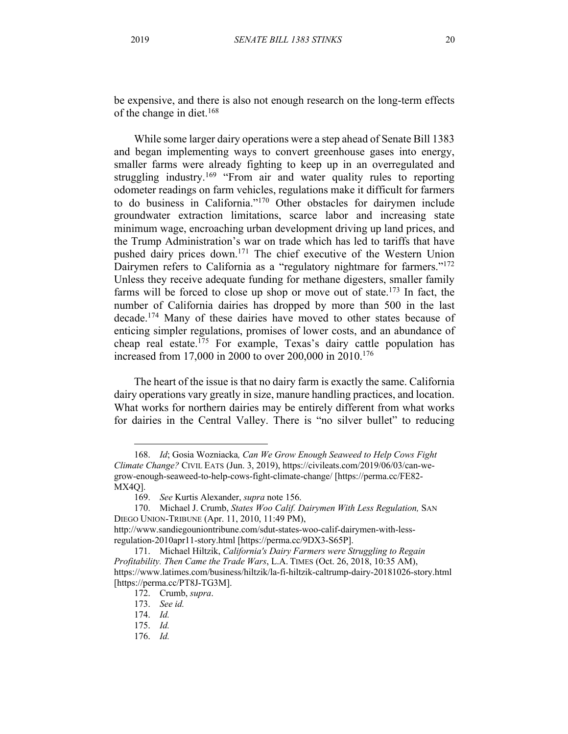be expensive, and there is also not enough research on the long-term effects of the change in diet.<sup>168</sup>

While some larger dairy operations were a step ahead of Senate Bill 1383 and began implementing ways to convert greenhouse gases into energy, smaller farms were already fighting to keep up in an overregulated and struggling industry.<sup>169</sup> "From air and water quality rules to reporting odometer readings on farm vehicles, regulations make it difficult for farmers to do business in California."170 Other obstacles for dairymen include groundwater extraction limitations, scarce labor and increasing state minimum wage, encroaching urban development driving up land prices, and the Trump Administration's war on trade which has led to tariffs that have pushed dairy prices down.171 The chief executive of the Western Union Dairymen refers to California as a "regulatory nightmare for farmers."<sup>172</sup> Unless they receive adequate funding for methane digesters, smaller family farms will be forced to close up shop or move out of state.<sup>173</sup> In fact, the number of California dairies has dropped by more than 500 in the last decade.174 Many of these dairies have moved to other states because of enticing simpler regulations, promises of lower costs, and an abundance of cheap real estate.175 For example, Texas's dairy cattle population has increased from 17,000 in 2000 to over 200,000 in 2010.176

The heart of the issue is that no dairy farm is exactly the same. California dairy operations vary greatly in size, manure handling practices, and location. What works for northern dairies may be entirely different from what works for dairies in the Central Valley. There is "no silver bullet" to reducing

regulation-2010apr11-story.html [https://perma.cc/9DX3-S65P].

<sup>168.</sup> *Id*; Gosia Wozniacka*, Can We Grow Enough Seaweed to Help Cows Fight Climate Change?* CIVIL EATS (Jun. 3, 2019), https://civileats.com/2019/06/03/can-wegrow-enough-seaweed-to-help-cows-fight-climate-change/ [https://perma.cc/FE82- MX4Q].

<sup>169.</sup> *See* Kurtis Alexander, *supra* note 156.

<sup>170.</sup> Michael J. Crumb, *States Woo Calif. Dairymen With Less Regulation,* SAN DIEGO UNION-TRIBUNE (Apr. 11, 2010, 11:49 PM), http://www.sandiegouniontribune.com/sdut-states-woo-calif-dairymen-with-less-

<sup>171.</sup> Michael Hiltzik, *California's Dairy Farmers were Struggling to Regain Profitability. Then Came the Trade Wars*, L.A. TIMES (Oct. 26, 2018, 10:35 AM), https://www.latimes.com/business/hiltzik/la-fi-hiltzik-caltrump-dairy-20181026-story.html [https://perma.cc/PT8J-TG3M].

<sup>172.</sup> Crumb, *supra*.

<sup>173.</sup> *See id.*

<sup>174.</sup> *Id.*

<sup>175.</sup> *Id.*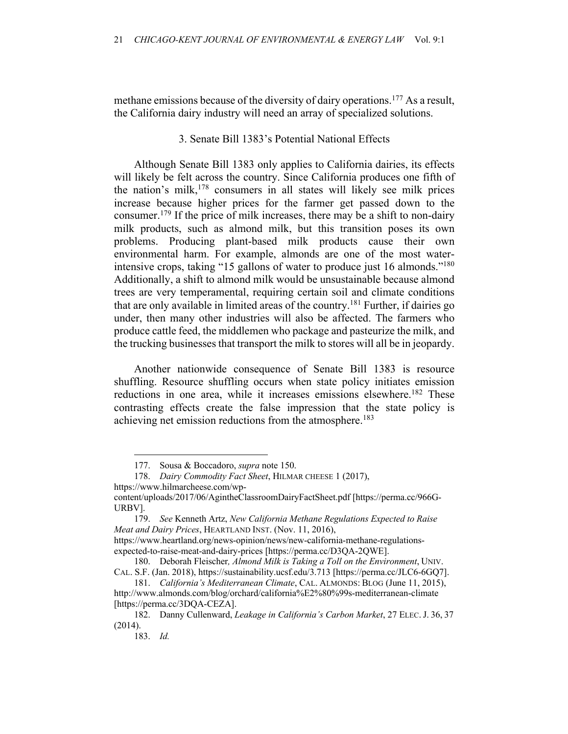methane emissions because of the diversity of dairy operations.<sup>177</sup> As a result, the California dairy industry will need an array of specialized solutions.

## 3. Senate Bill 1383's Potential National Effects

Although Senate Bill 1383 only applies to California dairies, its effects will likely be felt across the country. Since California produces one fifth of the nation's milk,178 consumers in all states will likely see milk prices increase because higher prices for the farmer get passed down to the consumer.179 If the price of milk increases, there may be a shift to non-dairy milk products, such as almond milk, but this transition poses its own problems. Producing plant-based milk products cause their own environmental harm. For example, almonds are one of the most waterintensive crops, taking "15 gallons of water to produce just 16 almonds."<sup>180</sup> Additionally, a shift to almond milk would be unsustainable because almond trees are very temperamental, requiring certain soil and climate conditions that are only available in limited areas of the country.<sup>181</sup> Further, if dairies go under, then many other industries will also be affected. The farmers who produce cattle feed, the middlemen who package and pasteurize the milk, and the trucking businesses that transport the milk to stores will all be in jeopardy.

Another nationwide consequence of Senate Bill 1383 is resource shuffling. Resource shuffling occurs when state policy initiates emission reductions in one area, while it increases emissions elsewhere.<sup>182</sup> These contrasting effects create the false impression that the state policy is achieving net emission reductions from the atmosphere.<sup>183</sup>

<sup>177.</sup> Sousa & Boccadoro, *supra* note 150.

<sup>178.</sup> *Dairy Commodity Fact Sheet*, HILMAR CHEESE 1 (2017),

https://www.hilmarcheese.com/wp-

content/uploads/2017/06/AgintheClassroomDairyFactSheet.pdf [https://perma.cc/966G-URBV].

<sup>179.</sup> *See* Kenneth Artz, *New California Methane Regulations Expected to Raise Meat and Dairy Prices*, HEARTLAND INST. (Nov. 11, 2016),

https://www.heartland.org/news-opinion/news/new-california-methane-regulationsexpected-to-raise-meat-and-dairy-prices [https://perma.cc/D3QA-2QWE].

<sup>180.</sup> Deborah Fleischer*, Almond Milk is Taking a Toll on the Environment*, UNIV. CAL. S.F. (Jan. 2018), https://sustainability.ucsf.edu/3.713 [https://perma.cc/JLC6-6GQ7].

<sup>181.</sup> *California's Mediterranean Climate*, CAL. ALMONDS: BLOG (June 11, 2015), http://www.almonds.com/blog/orchard/california%E2%80%99s-mediterranean-climate [https://perma.cc/3DQA-CEZA].

<sup>182.</sup> Danny Cullenward, *Leakage in California's Carbon Market*, 27 ELEC. J. 36, 37 (2014).

<sup>183.</sup> *Id.*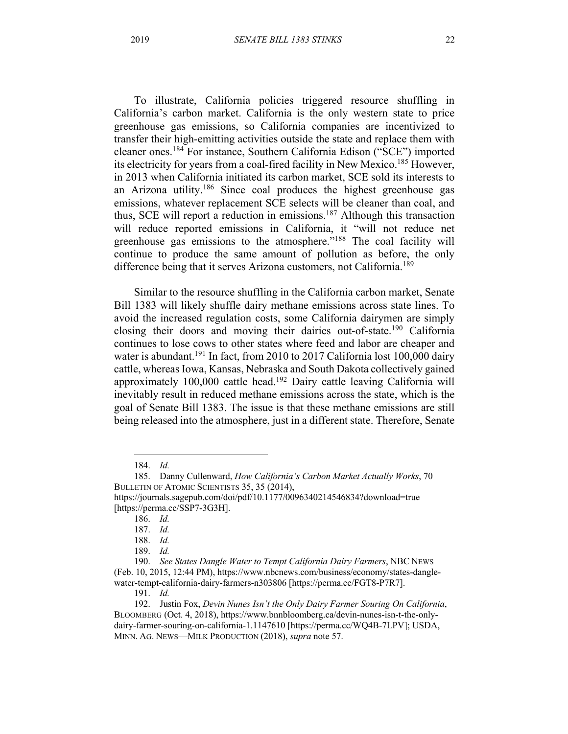To illustrate, California policies triggered resource shuffling in California's carbon market. California is the only western state to price greenhouse gas emissions, so California companies are incentivized to transfer their high-emitting activities outside the state and replace them with cleaner ones.184 For instance, Southern California Edison ("SCE") imported its electricity for years from a coal-fired facility in New Mexico.185 However, in 2013 when California initiated its carbon market, SCE sold its interests to an Arizona utility.186 Since coal produces the highest greenhouse gas emissions, whatever replacement SCE selects will be cleaner than coal, and thus, SCE will report a reduction in emissions.<sup>187</sup> Although this transaction will reduce reported emissions in California, it "will not reduce net greenhouse gas emissions to the atmosphere."188 The coal facility will continue to produce the same amount of pollution as before, the only difference being that it serves Arizona customers, not California.<sup>189</sup>

Similar to the resource shuffling in the California carbon market, Senate Bill 1383 will likely shuffle dairy methane emissions across state lines. To avoid the increased regulation costs, some California dairymen are simply closing their doors and moving their dairies out-of-state.190 California continues to lose cows to other states where feed and labor are cheaper and water is abundant.<sup>191</sup> In fact, from 2010 to 2017 California lost 100,000 dairy cattle, whereas Iowa, Kansas, Nebraska and South Dakota collectively gained approximately 100,000 cattle head.192 Dairy cattle leaving California will inevitably result in reduced methane emissions across the state, which is the goal of Senate Bill 1383. The issue is that these methane emissions are still being released into the atmosphere, just in a different state. Therefore, Senate

<sup>184.</sup> *Id.*

<sup>185.</sup> Danny Cullenward, *How California's Carbon Market Actually Works*, 70 BULLETIN OF ATOMIC SCIENTISTS 35, 35 (2014), https://journals.sagepub.com/doi/pdf/10.1177/0096340214546834?download=true

<sup>[</sup>https://perma.cc/SSP7-3G3H].

<sup>186.</sup> *Id.*

<sup>187.</sup> *Id.*

<sup>188.</sup> *Id.*

<sup>189.</sup> *Id.*

<sup>190.</sup> *See States Dangle Water to Tempt California Dairy Farmers*, NBC NEWS (Feb. 10, 2015, 12:44 PM), https://www.nbcnews.com/business/economy/states-danglewater-tempt-california-dairy-farmers-n303806 [https://perma.cc/FGT8-P7R7].

<sup>192.</sup> Justin Fox, *Devin Nunes Isn't the Only Dairy Farmer Souring On California*, BLOOMBERG (Oct. 4, 2018), https://www.bnnbloomberg.ca/devin-nunes-isn-t-the-onlydairy-farmer-souring-on-california-1.1147610 [https://perma.cc/WQ4B-7LPV]; USDA, MINN. AG. NEWS—MILK PRODUCTION (2018), *supra* note 57.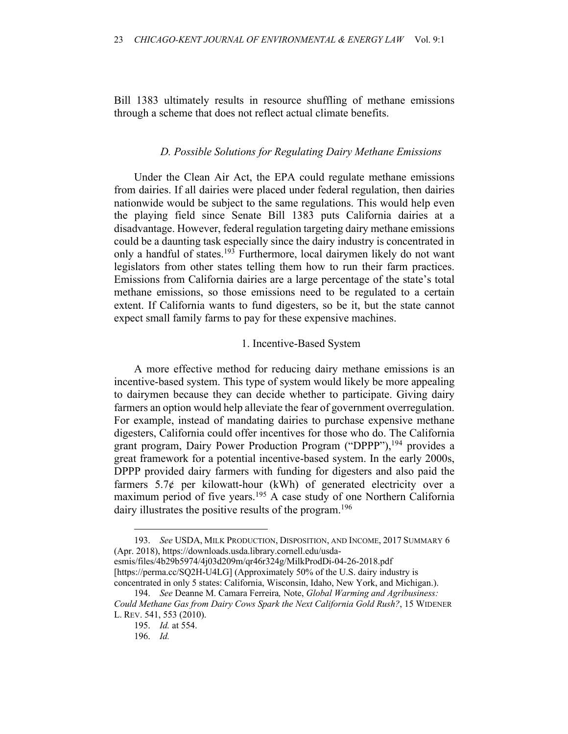Bill 1383 ultimately results in resource shuffling of methane emissions through a scheme that does not reflect actual climate benefits.

#### *D. Possible Solutions for Regulating Dairy Methane Emissions*

Under the Clean Air Act, the EPA could regulate methane emissions from dairies. If all dairies were placed under federal regulation, then dairies nationwide would be subject to the same regulations. This would help even the playing field since Senate Bill 1383 puts California dairies at a disadvantage. However, federal regulation targeting dairy methane emissions could be a daunting task especially since the dairy industry is concentrated in only a handful of states.193 Furthermore, local dairymen likely do not want legislators from other states telling them how to run their farm practices. Emissions from California dairies are a large percentage of the state's total methane emissions, so those emissions need to be regulated to a certain extent. If California wants to fund digesters, so be it, but the state cannot expect small family farms to pay for these expensive machines.

#### 1. Incentive-Based System

A more effective method for reducing dairy methane emissions is an incentive-based system. This type of system would likely be more appealing to dairymen because they can decide whether to participate. Giving dairy farmers an option would help alleviate the fear of government overregulation. For example, instead of mandating dairies to purchase expensive methane digesters, California could offer incentives for those who do. The California grant program, Dairy Power Production Program ("DPPP"),<sup>194</sup> provides a great framework for a potential incentive-based system. In the early 2000s, DPPP provided dairy farmers with funding for digesters and also paid the farmers 5.7¢ per kilowatt-hour (kWh) of generated electricity over a maximum period of five years.<sup>195</sup> A case study of one Northern California dairy illustrates the positive results of the program.<sup>196</sup>

esmis/files/4b29b5974/4j03d209m/qr46r324g/MilkProdDi-04-26-2018.pdf [https://perma.cc/SQ2H-U4LG] (Approximately 50% of the U.S. dairy industry is concentrated in only 5 states: California, Wisconsin, Idaho, New York, and Michigan.).

<sup>193.</sup> *See* USDA, MILK PRODUCTION, DISPOSITION, AND INCOME, 2017 SUMMARY 6 (Apr. 2018), https://downloads.usda.library.cornell.edu/usda-

<sup>194.</sup> *See* Deanne M. Camara Ferreira*,* Note, *Global Warming and Agribusiness: Could Methane Gas from Dairy Cows Spark the Next California Gold Rush?*, 15 WIDENER L. REV. 541, 553 (2010).

<sup>195.</sup> *Id.* at 554.

<sup>196.</sup> *Id.*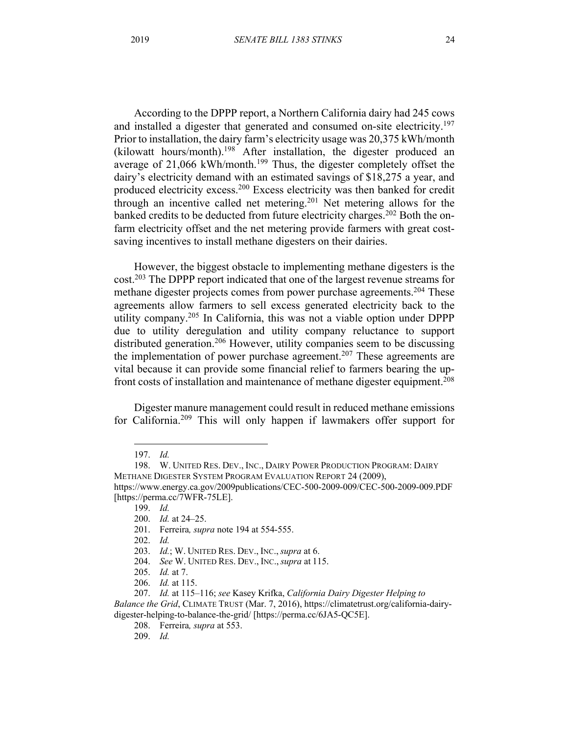According to the DPPP report, a Northern California dairy had 245 cows and installed a digester that generated and consumed on-site electricity.<sup>197</sup> Prior to installation, the dairy farm's electricity usage was 20,375 kWh/month (kilowatt hours/month).198 After installation, the digester produced an average of 21,066 kWh/month.199 Thus, the digester completely offset the dairy's electricity demand with an estimated savings of \$18,275 a year, and produced electricity excess.200 Excess electricity was then banked for credit through an incentive called net metering.201 Net metering allows for the banked credits to be deducted from future electricity charges.<sup>202</sup> Both the onfarm electricity offset and the net metering provide farmers with great costsaving incentives to install methane digesters on their dairies.

However, the biggest obstacle to implementing methane digesters is the cost.203 The DPPP report indicated that one of the largest revenue streams for methane digester projects comes from power purchase agreements.<sup>204</sup> These agreements allow farmers to sell excess generated electricity back to the utility company.205 In California, this was not a viable option under DPPP due to utility deregulation and utility company reluctance to support distributed generation.<sup>206</sup> However, utility companies seem to be discussing the implementation of power purchase agreement.<sup>207</sup> These agreements are vital because it can provide some financial relief to farmers bearing the upfront costs of installation and maintenance of methane digester equipment.<sup>208</sup>

Digester manure management could result in reduced methane emissions for California.209 This will only happen if lawmakers offer support for

206. *Id.* at 115.

<sup>197.</sup> *Id.*

<sup>198.</sup> W. UNITED RES. DEV., INC., DAIRY POWER PRODUCTION PROGRAM: DAIRY METHANE DIGESTER SYSTEM PROGRAM EVALUATION REPORT 24 (2009), https://www.energy.ca.gov/2009publications/CEC-500-2009-009/CEC-500-2009-009.PDF [https://perma.cc/7WFR-75LE].

<sup>199.</sup> *Id.*

<sup>200.</sup> *Id.* at 24–25.

<sup>201.</sup> Ferreira*, supra* note 194 at 554-555.

<sup>202.</sup> *Id.*

<sup>203.</sup> *Id.*; W. UNITED RES. DEV., INC., *supra* at 6.

<sup>204.</sup> *See* W. UNITED RES. DEV., INC., *supra* at 115.

<sup>205.</sup> *Id.* at 7.

<sup>207.</sup> *Id.* at 115–116; *see* Kasey Krifka, *California Dairy Digester Helping to Balance the Grid*, CLIMATE TRUST (Mar. 7, 2016), https://climatetrust.org/california-dairy-

digester-helping-to-balance-the-grid/ [https://perma.cc/6JA5-QC5E].

<sup>208.</sup> Ferreira*, supra* at 553.

<sup>209.</sup> *Id.*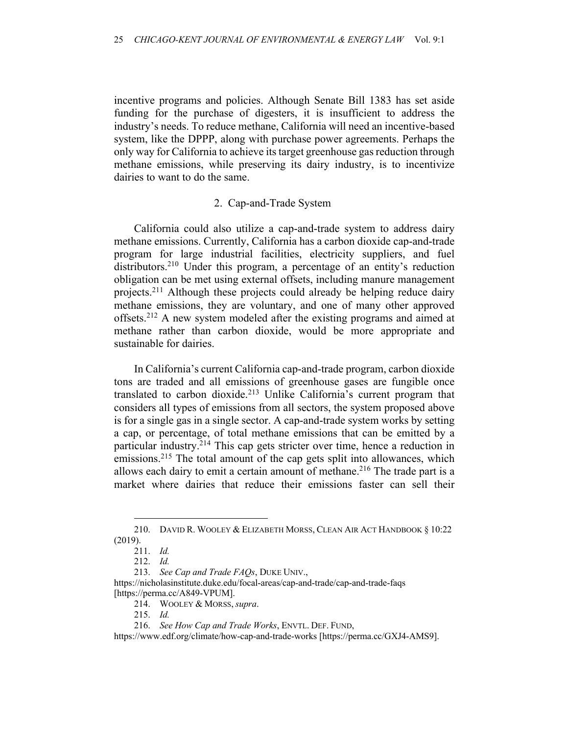incentive programs and policies. Although Senate Bill 1383 has set aside funding for the purchase of digesters, it is insufficient to address the industry's needs. To reduce methane, California will need an incentive-based system, like the DPPP, along with purchase power agreements. Perhaps the only way for California to achieve its target greenhouse gas reduction through methane emissions, while preserving its dairy industry, is to incentivize dairies to want to do the same.

#### 2. Cap-and-Trade System

California could also utilize a cap-and-trade system to address dairy methane emissions. Currently, California has a carbon dioxide cap-and-trade program for large industrial facilities, electricity suppliers, and fuel distributors.<sup>210</sup> Under this program, a percentage of an entity's reduction obligation can be met using external offsets, including manure management projects.211 Although these projects could already be helping reduce dairy methane emissions, they are voluntary, and one of many other approved offsets.212 A new system modeled after the existing programs and aimed at methane rather than carbon dioxide, would be more appropriate and sustainable for dairies.

In California's current California cap-and-trade program, carbon dioxide tons are traded and all emissions of greenhouse gases are fungible once translated to carbon dioxide.<sup>213</sup> Unlike California's current program that considers all types of emissions from all sectors, the system proposed above is for a single gas in a single sector. A cap-and-trade system works by setting a cap, or percentage, of total methane emissions that can be emitted by a particular industry.214 This cap gets stricter over time, hence a reduction in emissions.<sup>215</sup> The total amount of the cap gets split into allowances, which allows each dairy to emit a certain amount of methane.<sup>216</sup> The trade part is a market where dairies that reduce their emissions faster can sell their

<sup>210.</sup> DAVID R. WOOLEY & ELIZABETH MORSS, CLEAN AIR ACT HANDBOOK § 10:22 (2019).

<sup>211.</sup> *Id.*

<sup>212.</sup> *Id.*

<sup>213.</sup> *See Cap and Trade FAQs*, DUKE UNIV.,

https://nicholasinstitute.duke.edu/focal-areas/cap-and-trade/cap-and-trade-faqs [https://perma.cc/A849-VPUM].

<sup>214.</sup> WOOLEY & MORSS, *supra*.

<sup>215.</sup> *Id.*

<sup>216.</sup> *See How Cap and Trade Works*, ENVTL. DEF. FUND,

https://www.edf.org/climate/how-cap-and-trade-works [https://perma.cc/GXJ4-AMS9].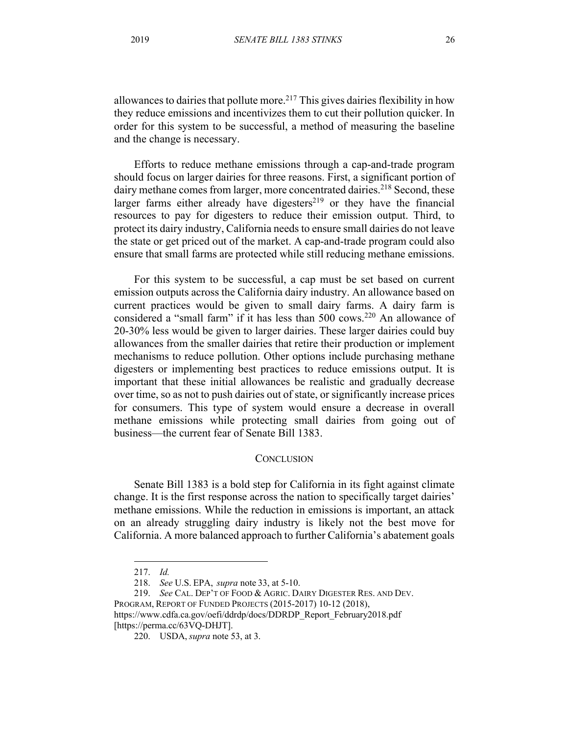allowances to dairies that pollute more.<sup>217</sup> This gives dairies flexibility in how they reduce emissions and incentivizes them to cut their pollution quicker. In order for this system to be successful, a method of measuring the baseline and the change is necessary.

Efforts to reduce methane emissions through a cap-and-trade program should focus on larger dairies for three reasons. First, a significant portion of dairy methane comes from larger, more concentrated dairies.<sup>218</sup> Second, these larger farms either already have digesters<sup>219</sup> or they have the financial resources to pay for digesters to reduce their emission output. Third, to protect its dairy industry, California needs to ensure small dairies do not leave the state or get priced out of the market. A cap-and-trade program could also ensure that small farms are protected while still reducing methane emissions.

For this system to be successful, a cap must be set based on current emission outputs across the California dairy industry. An allowance based on current practices would be given to small dairy farms. A dairy farm is considered a "small farm" if it has less than 500 cows.220 An allowance of 20-30% less would be given to larger dairies. These larger dairies could buy allowances from the smaller dairies that retire their production or implement mechanisms to reduce pollution. Other options include purchasing methane digesters or implementing best practices to reduce emissions output. It is important that these initial allowances be realistic and gradually decrease over time, so as not to push dairies out of state, or significantly increase prices for consumers. This type of system would ensure a decrease in overall methane emissions while protecting small dairies from going out of business—the current fear of Senate Bill 1383.

#### **CONCLUSION**

Senate Bill 1383 is a bold step for California in its fight against climate change. It is the first response across the nation to specifically target dairies' methane emissions. While the reduction in emissions is important, an attack on an already struggling dairy industry is likely not the best move for California. A more balanced approach to further California's abatement goals

219. *See* CAL. DEP'T OF FOOD & AGRIC. DAIRY DIGESTER RES. AND DEV. PROGRAM, REPORT OF FUNDED PROJECTS (2015-2017) 10-12 (2018), https://www.cdfa.ca.gov/oefi/ddrdp/docs/DDRDP\_Report\_February2018.pdf [https://perma.cc/63VQ-DHJT].

<sup>217.</sup> *Id.*

<sup>218.</sup> *See* U.S. EPA, *supra* note 33, at 5-10.

<sup>220.</sup> USDA, *supra* note 53, at 3.